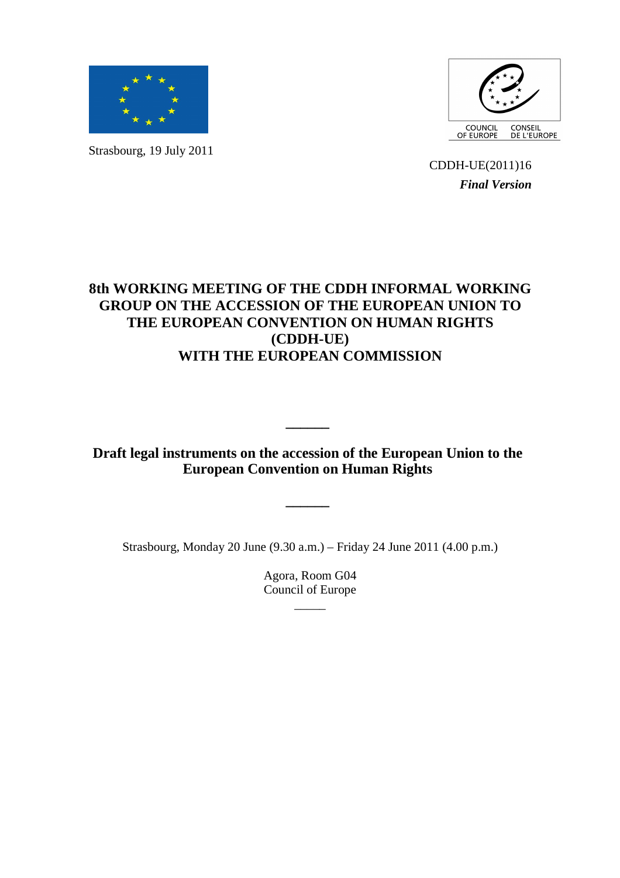

Strasbourg, 19 July 2011



CDDH-UE(2011)16 *Final Version*

# **8th WORKING MEETING OF THE CDDH INFORMAL WORKING GROUP ON THE ACCESSION OF THE EUROPEAN UNION TO THE EUROPEAN CONVENTION ON HUMAN RIGHTS (CDDH-UE) WITH THE EUROPEAN COMMISSION**

**Draft legal instruments on the accession of the European Union to the European Convention on Human Rights** 

**\_\_\_\_\_\_** 

**\_\_\_\_\_\_** 

Strasbourg, Monday 20 June (9.30 a.m.) – Friday 24 June 2011 (4.00 p.m.)

Agora, Room G04 Council of Europe

\_\_\_\_\_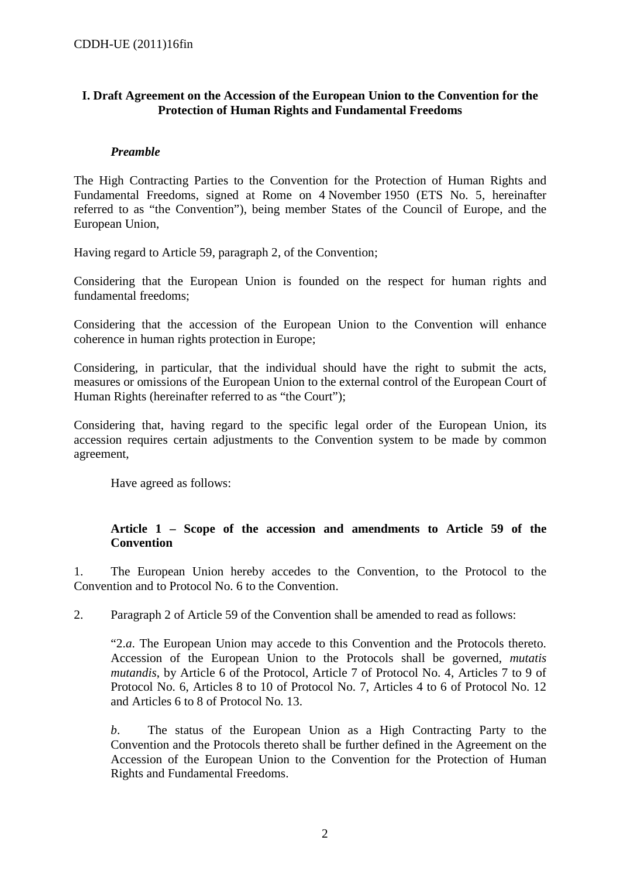## **I. Draft Agreement on the Accession of the European Union to the Convention for the Protection of Human Rights and Fundamental Freedoms**

## *Preamble*

The High Contracting Parties to the Convention for the Protection of Human Rights and Fundamental Freedoms, signed at Rome on 4 November 1950 (ETS No. 5, hereinafter referred to as "the Convention"), being member States of the Council of Europe, and the European Union,

Having regard to Article 59, paragraph 2, of the Convention;

Considering that the European Union is founded on the respect for human rights and fundamental freedoms;

Considering that the accession of the European Union to the Convention will enhance coherence in human rights protection in Europe;

Considering, in particular, that the individual should have the right to submit the acts, measures or omissions of the European Union to the external control of the European Court of Human Rights (hereinafter referred to as "the Court");

Considering that, having regard to the specific legal order of the European Union, its accession requires certain adjustments to the Convention system to be made by common agreement,

Have agreed as follows:

## **Article 1 – Scope of the accession and amendments to Article 59 of the Convention**

1. The European Union hereby accedes to the Convention, to the Protocol to the Convention and to Protocol No. 6 to the Convention.

2. Paragraph 2 of Article 59 of the Convention shall be amended to read as follows:

"2.*a*. The European Union may accede to this Convention and the Protocols thereto. Accession of the European Union to the Protocols shall be governed, *mutatis mutandis*, by Article 6 of the Protocol, Article 7 of Protocol No. 4, Articles 7 to 9 of Protocol No. 6, Articles 8 to 10 of Protocol No. 7, Articles 4 to 6 of Protocol No. 12 and Articles 6 to 8 of Protocol No. 13.

*b*. The status of the European Union as a High Contracting Party to the Convention and the Protocols thereto shall be further defined in the Agreement on the Accession of the European Union to the Convention for the Protection of Human Rights and Fundamental Freedoms.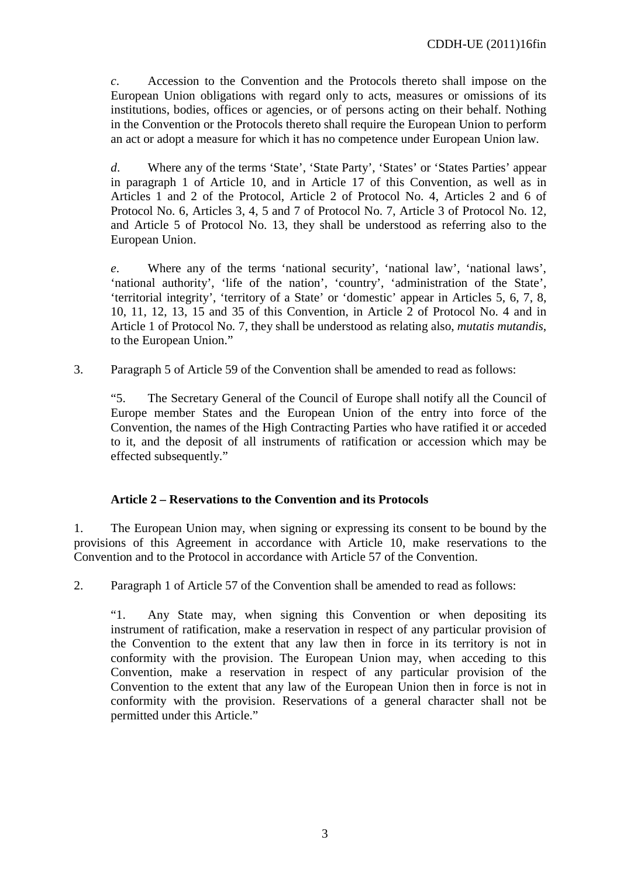*c*. Accession to the Convention and the Protocols thereto shall impose on the European Union obligations with regard only to acts, measures or omissions of its institutions, bodies, offices or agencies, or of persons acting on their behalf. Nothing in the Convention or the Protocols thereto shall require the European Union to perform an act or adopt a measure for which it has no competence under European Union law.

*d*. Where any of the terms 'State', 'State Party', 'States' or 'States Parties' appear in paragraph 1 of Article 10, and in Article 17 of this Convention, as well as in Articles 1 and 2 of the Protocol, Article 2 of Protocol No. 4, Articles 2 and 6 of Protocol No. 6, Articles 3, 4, 5 and 7 of Protocol No. 7, Article 3 of Protocol No. 12, and Article 5 of Protocol No. 13, they shall be understood as referring also to the European Union.

*e*. Where any of the terms 'national security', 'national law', 'national laws', 'national authority', 'life of the nation', 'country', 'administration of the State', 'territorial integrity', 'territory of a State' or 'domestic' appear in Articles 5, 6, 7, 8, 10, 11, 12, 13, 15 and 35 of this Convention, in Article 2 of Protocol No. 4 and in Article 1 of Protocol No. 7, they shall be understood as relating also, *mutatis mutandis*, to the European Union."

3. Paragraph 5 of Article 59 of the Convention shall be amended to read as follows:

"5. The Secretary General of the Council of Europe shall notify all the Council of Europe member States and the European Union of the entry into force of the Convention, the names of the High Contracting Parties who have ratified it or acceded to it, and the deposit of all instruments of ratification or accession which may be effected subsequently."

## **Article 2 – Reservations to the Convention and its Protocols**

1. The European Union may, when signing or expressing its consent to be bound by the provisions of this Agreement in accordance with Article 10, make reservations to the Convention and to the Protocol in accordance with Article 57 of the Convention.

2. Paragraph 1 of Article 57 of the Convention shall be amended to read as follows:

"1. Any State may, when signing this Convention or when depositing its instrument of ratification, make a reservation in respect of any particular provision of the Convention to the extent that any law then in force in its territory is not in conformity with the provision. The European Union may, when acceding to this Convention, make a reservation in respect of any particular provision of the Convention to the extent that any law of the European Union then in force is not in conformity with the provision. Reservations of a general character shall not be permitted under this Article."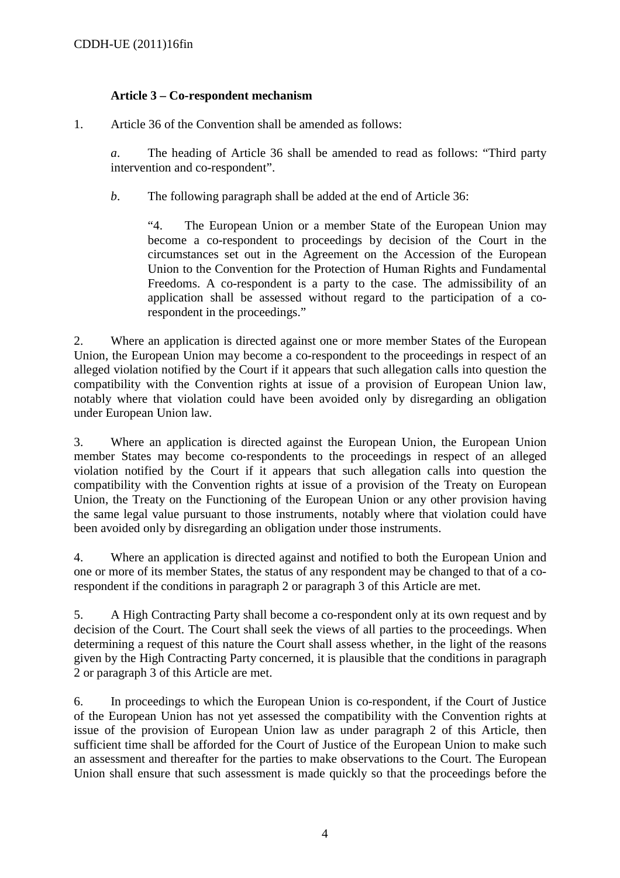## **Article 3 – Co-respondent mechanism**

1. Article 36 of the Convention shall be amended as follows:

*a*. The heading of Article 36 shall be amended to read as follows: "Third party intervention and co-respondent".

*b*. The following paragraph shall be added at the end of Article 36:

"4. The European Union or a member State of the European Union may become a co-respondent to proceedings by decision of the Court in the circumstances set out in the Agreement on the Accession of the European Union to the Convention for the Protection of Human Rights and Fundamental Freedoms. A co-respondent is a party to the case. The admissibility of an application shall be assessed without regard to the participation of a corespondent in the proceedings."

2. Where an application is directed against one or more member States of the European Union, the European Union may become a co-respondent to the proceedings in respect of an alleged violation notified by the Court if it appears that such allegation calls into question the compatibility with the Convention rights at issue of a provision of European Union law, notably where that violation could have been avoided only by disregarding an obligation under European Union law.

3. Where an application is directed against the European Union, the European Union member States may become co-respondents to the proceedings in respect of an alleged violation notified by the Court if it appears that such allegation calls into question the compatibility with the Convention rights at issue of a provision of the Treaty on European Union, the Treaty on the Functioning of the European Union or any other provision having the same legal value pursuant to those instruments, notably where that violation could have been avoided only by disregarding an obligation under those instruments.

4. Where an application is directed against and notified to both the European Union and one or more of its member States, the status of any respondent may be changed to that of a corespondent if the conditions in paragraph 2 or paragraph 3 of this Article are met.

5. A High Contracting Party shall become a co-respondent only at its own request and by decision of the Court. The Court shall seek the views of all parties to the proceedings. When determining a request of this nature the Court shall assess whether, in the light of the reasons given by the High Contracting Party concerned, it is plausible that the conditions in paragraph 2 or paragraph 3 of this Article are met.

6. In proceedings to which the European Union is co-respondent, if the Court of Justice of the European Union has not yet assessed the compatibility with the Convention rights at issue of the provision of European Union law as under paragraph 2 of this Article, then sufficient time shall be afforded for the Court of Justice of the European Union to make such an assessment and thereafter for the parties to make observations to the Court. The European Union shall ensure that such assessment is made quickly so that the proceedings before the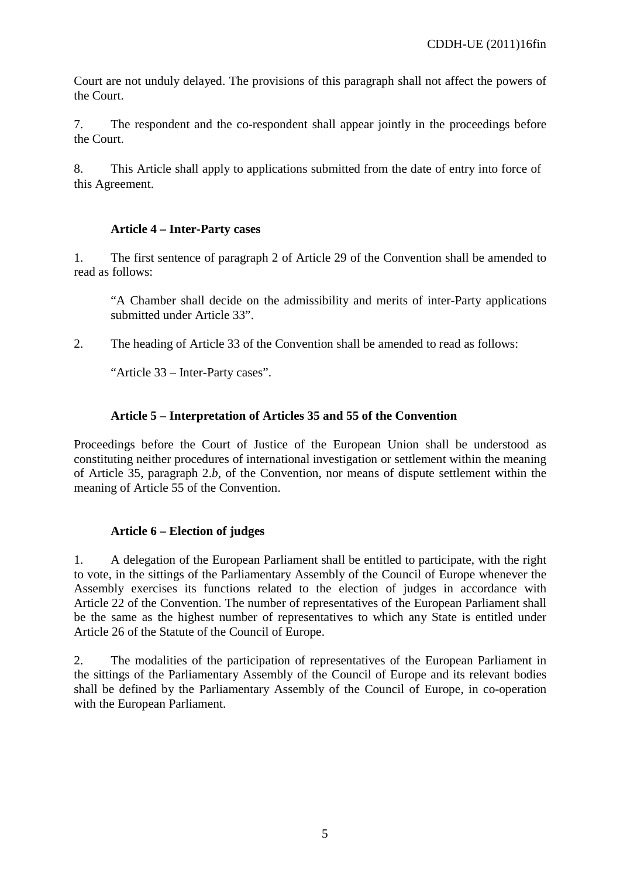Court are not unduly delayed. The provisions of this paragraph shall not affect the powers of the Court.

7. The respondent and the co-respondent shall appear jointly in the proceedings before the Court.

8. This Article shall apply to applications submitted from the date of entry into force of this Agreement.

## **Article 4 – Inter-Party cases**

1. The first sentence of paragraph 2 of Article 29 of the Convention shall be amended to read as follows:

"A Chamber shall decide on the admissibility and merits of inter-Party applications submitted under Article 33".

2. The heading of Article 33 of the Convention shall be amended to read as follows:

"Article 33 – Inter-Party cases".

## **Article 5 – Interpretation of Articles 35 and 55 of the Convention**

Proceedings before the Court of Justice of the European Union shall be understood as constituting neither procedures of international investigation or settlement within the meaning of Article 35, paragraph 2.*b*, of the Convention, nor means of dispute settlement within the meaning of Article 55 of the Convention.

### **Article 6 – Election of judges**

1. A delegation of the European Parliament shall be entitled to participate, with the right to vote, in the sittings of the Parliamentary Assembly of the Council of Europe whenever the Assembly exercises its functions related to the election of judges in accordance with Article 22 of the Convention. The number of representatives of the European Parliament shall be the same as the highest number of representatives to which any State is entitled under Article 26 of the Statute of the Council of Europe.

2. The modalities of the participation of representatives of the European Parliament in the sittings of the Parliamentary Assembly of the Council of Europe and its relevant bodies shall be defined by the Parliamentary Assembly of the Council of Europe, in co-operation with the European Parliament.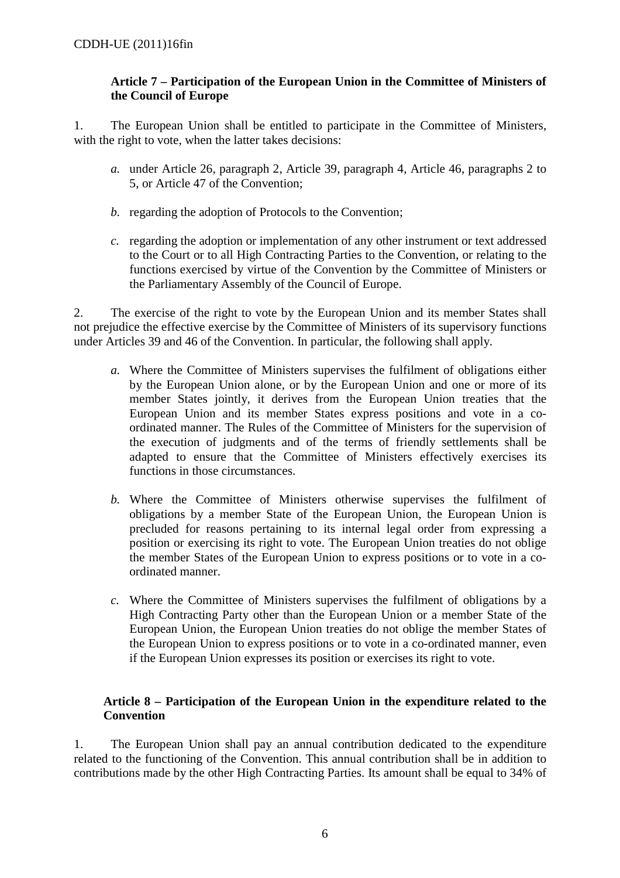## **Article 7 – Participation of the European Union in the Committee of Ministers of the Council of Europe**

1. The European Union shall be entitled to participate in the Committee of Ministers, with the right to vote, when the latter takes decisions:

- *a.* under Article 26, paragraph 2, Article 39, paragraph 4, Article 46, paragraphs 2 to 5, or Article 47 of the Convention;
- *b.* regarding the adoption of Protocols to the Convention;
- *c.* regarding the adoption or implementation of any other instrument or text addressed to the Court or to all High Contracting Parties to the Convention, or relating to the functions exercised by virtue of the Convention by the Committee of Ministers or the Parliamentary Assembly of the Council of Europe.

2. The exercise of the right to vote by the European Union and its member States shall not prejudice the effective exercise by the Committee of Ministers of its supervisory functions under Articles 39 and 46 of the Convention. In particular, the following shall apply.

- *a.* Where the Committee of Ministers supervises the fulfilment of obligations either by the European Union alone, or by the European Union and one or more of its member States jointly, it derives from the European Union treaties that the European Union and its member States express positions and vote in a coordinated manner. The Rules of the Committee of Ministers for the supervision of the execution of judgments and of the terms of friendly settlements shall be adapted to ensure that the Committee of Ministers effectively exercises its functions in those circumstances.
- *b.* Where the Committee of Ministers otherwise supervises the fulfilment of obligations by a member State of the European Union, the European Union is precluded for reasons pertaining to its internal legal order from expressing a position or exercising its right to vote. The European Union treaties do not oblige the member States of the European Union to express positions or to vote in a coordinated manner.
- *c.* Where the Committee of Ministers supervises the fulfilment of obligations by a High Contracting Party other than the European Union or a member State of the European Union, the European Union treaties do not oblige the member States of the European Union to express positions or to vote in a co-ordinated manner, even if the European Union expresses its position or exercises its right to vote.

## **Article 8 – Participation of the European Union in the expenditure related to the Convention**

1. The European Union shall pay an annual contribution dedicated to the expenditure related to the functioning of the Convention. This annual contribution shall be in addition to contributions made by the other High Contracting Parties. Its amount shall be equal to 34% of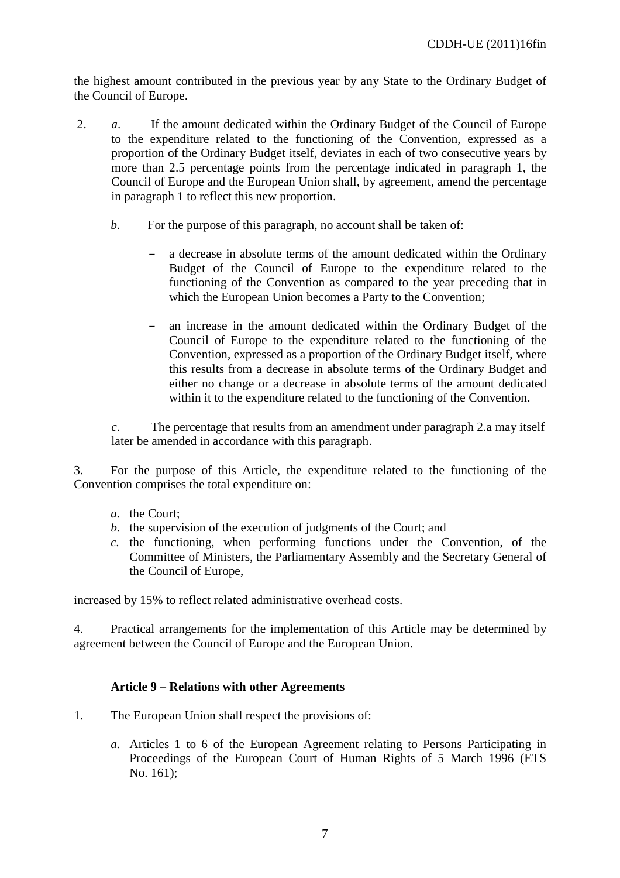the highest amount contributed in the previous year by any State to the Ordinary Budget of the Council of Europe.

- 2. *a*. If the amount dedicated within the Ordinary Budget of the Council of Europe to the expenditure related to the functioning of the Convention, expressed as a proportion of the Ordinary Budget itself, deviates in each of two consecutive years by more than 2.5 percentage points from the percentage indicated in paragraph 1, the Council of Europe and the European Union shall, by agreement, amend the percentage in paragraph 1 to reflect this new proportion.
	- *b*. For the purpose of this paragraph, no account shall be taken of:
		- a decrease in absolute terms of the amount dedicated within the Ordinary Budget of the Council of Europe to the expenditure related to the functioning of the Convention as compared to the year preceding that in which the European Union becomes a Party to the Convention;
		- an increase in the amount dedicated within the Ordinary Budget of the Council of Europe to the expenditure related to the functioning of the Convention, expressed as a proportion of the Ordinary Budget itself, where this results from a decrease in absolute terms of the Ordinary Budget and either no change or a decrease in absolute terms of the amount dedicated within it to the expenditure related to the functioning of the Convention.

*c*. The percentage that results from an amendment under paragraph 2.a may itself later be amended in accordance with this paragraph.

3. For the purpose of this Article, the expenditure related to the functioning of the Convention comprises the total expenditure on:

- *a.* the Court;
- *b.* the supervision of the execution of judgments of the Court; and
- *c.* the functioning, when performing functions under the Convention, of the Committee of Ministers, the Parliamentary Assembly and the Secretary General of the Council of Europe,

increased by 15% to reflect related administrative overhead costs.

4. Practical arrangements for the implementation of this Article may be determined by agreement between the Council of Europe and the European Union.

## **Article 9 – Relations with other Agreements**

- 1. The European Union shall respect the provisions of:
	- *a.* Articles 1 to 6 of the European Agreement relating to Persons Participating in Proceedings of the European Court of Human Rights of 5 March 1996 (ETS No. 161);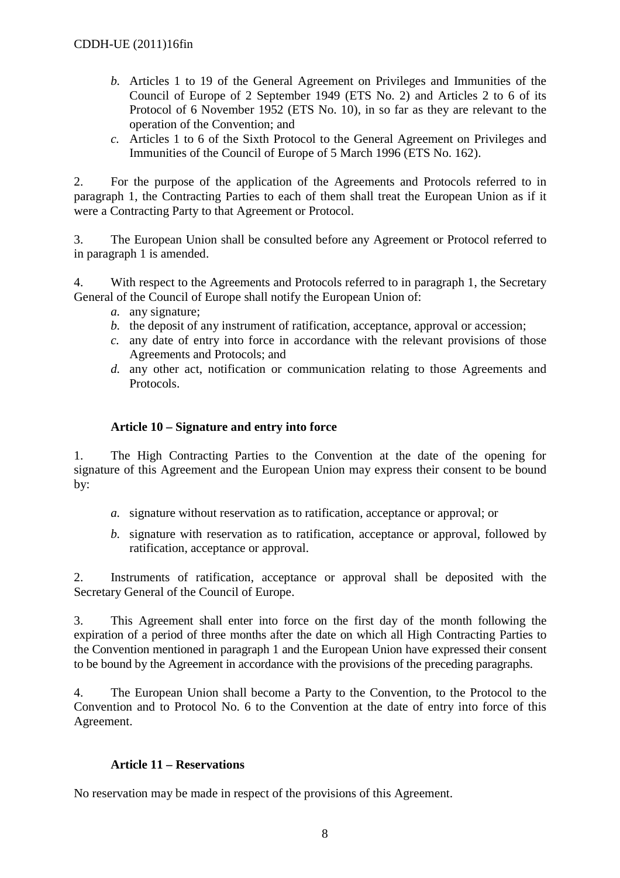- *b.* Articles 1 to 19 of the General Agreement on Privileges and Immunities of the Council of Europe of 2 September 1949 (ETS No. 2) and Articles 2 to 6 of its Protocol of 6 November 1952 (ETS No. 10), in so far as they are relevant to the operation of the Convention; and
- *c.* Articles 1 to 6 of the Sixth Protocol to the General Agreement on Privileges and Immunities of the Council of Europe of 5 March 1996 (ETS No. 162).

2. For the purpose of the application of the Agreements and Protocols referred to in paragraph 1, the Contracting Parties to each of them shall treat the European Union as if it were a Contracting Party to that Agreement or Protocol.

3. The European Union shall be consulted before any Agreement or Protocol referred to in paragraph 1 is amended.

4. With respect to the Agreements and Protocols referred to in paragraph 1, the Secretary General of the Council of Europe shall notify the European Union of:

- *a.* any signature;
- *b.* the deposit of any instrument of ratification, acceptance, approval or accession;
- *c.* any date of entry into force in accordance with the relevant provisions of those Agreements and Protocols; and
- *d.* any other act, notification or communication relating to those Agreements and Protocols.

## **Article 10 – Signature and entry into force**

1. The High Contracting Parties to the Convention at the date of the opening for signature of this Agreement and the European Union may express their consent to be bound by:

- *a.* signature without reservation as to ratification, acceptance or approval; or
- *b.* signature with reservation as to ratification, acceptance or approval, followed by ratification, acceptance or approval.

2. Instruments of ratification, acceptance or approval shall be deposited with the Secretary General of the Council of Europe.

3. This Agreement shall enter into force on the first day of the month following the expiration of a period of three months after the date on which all High Contracting Parties to the Convention mentioned in paragraph 1 and the European Union have expressed their consent to be bound by the Agreement in accordance with the provisions of the preceding paragraphs.

4. The European Union shall become a Party to the Convention, to the Protocol to the Convention and to Protocol No. 6 to the Convention at the date of entry into force of this Agreement.

## **Article 11 – Reservations**

No reservation may be made in respect of the provisions of this Agreement.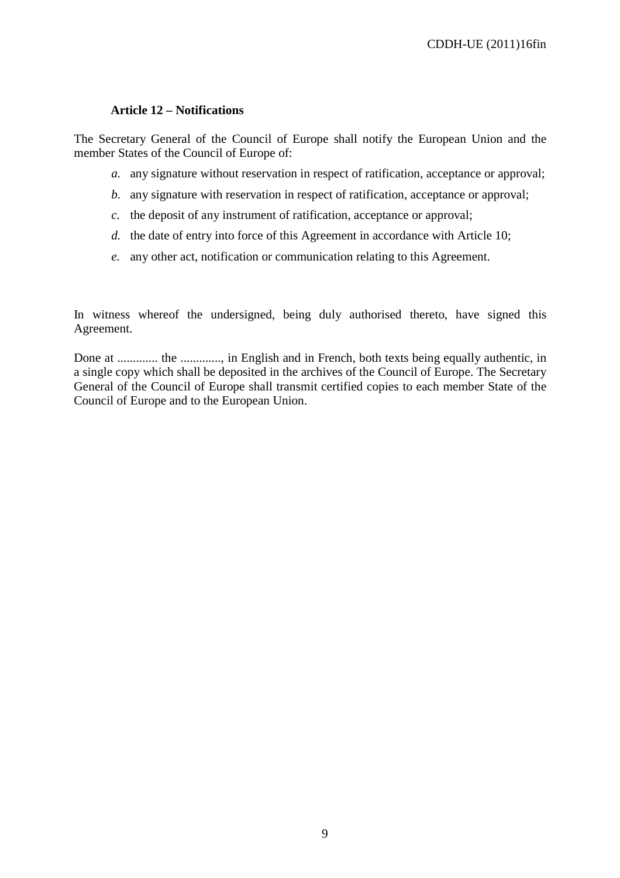## **Article 12 – Notifications**

The Secretary General of the Council of Europe shall notify the European Union and the member States of the Council of Europe of:

- *a.* any signature without reservation in respect of ratification, acceptance or approval;
- *b.* any signature with reservation in respect of ratification, acceptance or approval;
- *c.* the deposit of any instrument of ratification, acceptance or approval;
- *d.* the date of entry into force of this Agreement in accordance with Article 10;
- *e.* any other act, notification or communication relating to this Agreement.

In witness whereof the undersigned, being duly authorised thereto, have signed this Agreement.

Done at ............. the ............., in English and in French, both texts being equally authentic, in a single copy which shall be deposited in the archives of the Council of Europe. The Secretary General of the Council of Europe shall transmit certified copies to each member State of the Council of Europe and to the European Union.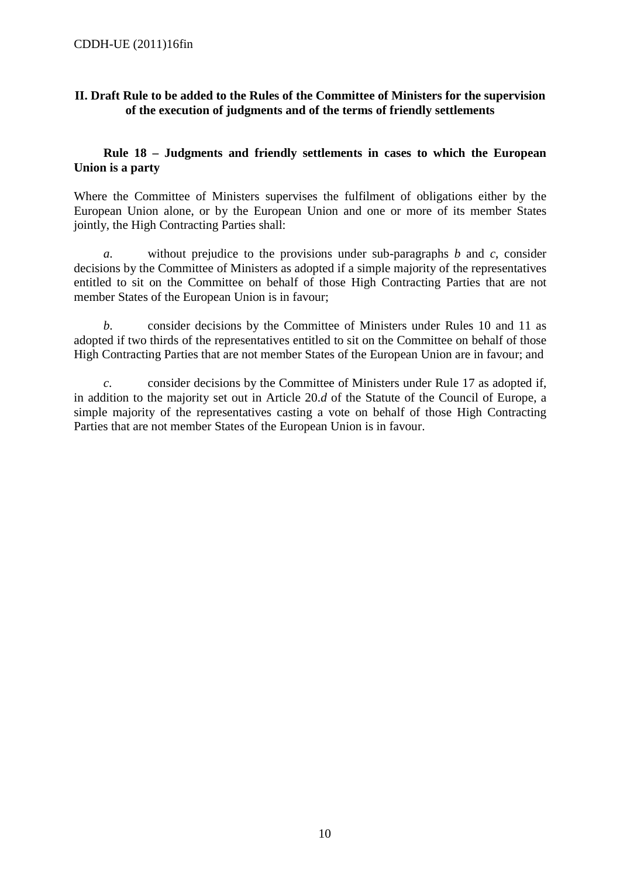## **II. Draft Rule to be added to the Rules of the Committee of Ministers for the supervision of the execution of judgments and of the terms of friendly settlements**

## **Rule 18 – Judgments and friendly settlements in cases to which the European Union is a party**

Where the Committee of Ministers supervises the fulfilment of obligations either by the European Union alone, or by the European Union and one or more of its member States jointly, the High Contracting Parties shall:

without prejudice to the provisions under sub-paragraphs  $b$  and  $c$ , consider decisions by the Committee of Ministers as adopted if a simple majority of the representatives entitled to sit on the Committee on behalf of those High Contracting Parties that are not member States of the European Union is in favour;

*b*. consider decisions by the Committee of Ministers under Rules 10 and 11 as adopted if two thirds of the representatives entitled to sit on the Committee on behalf of those High Contracting Parties that are not member States of the European Union are in favour; and

*c*. consider decisions by the Committee of Ministers under Rule 17 as adopted if, in addition to the majority set out in Article 20.*d* of the Statute of the Council of Europe, a simple majority of the representatives casting a vote on behalf of those High Contracting Parties that are not member States of the European Union is in favour.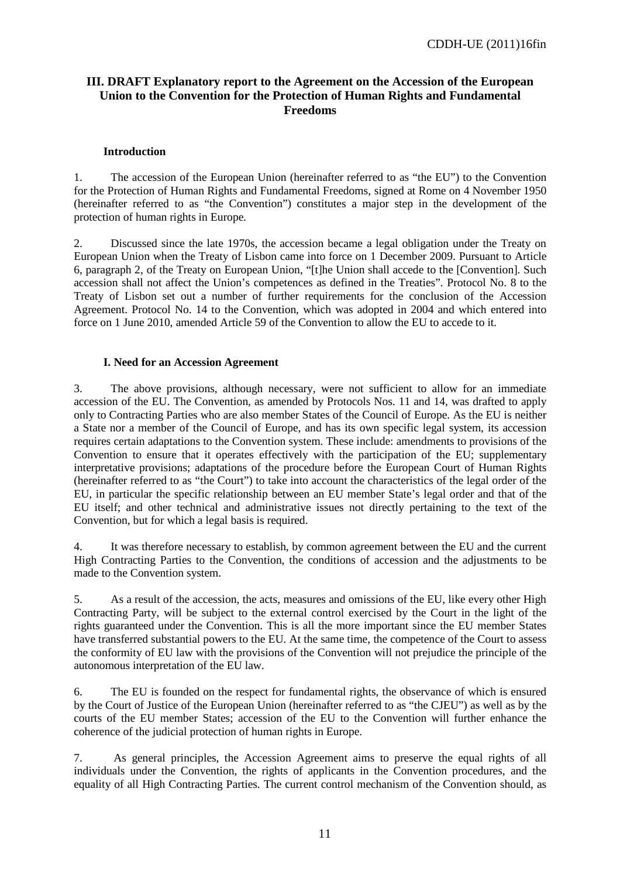## **III. DRAFT Explanatory report to the Agreement on the Accession of the European Union to the Convention for the Protection of Human Rights and Fundamental Freedoms**

### **Introduction**

1. The accession of the European Union (hereinafter referred to as "the EU") to the Convention for the Protection of Human Rights and Fundamental Freedoms, signed at Rome on 4 November 1950 (hereinafter referred to as "the Convention") constitutes a major step in the development of the protection of human rights in Europe.

2. Discussed since the late 1970s, the accession became a legal obligation under the Treaty on European Union when the Treaty of Lisbon came into force on 1 December 2009. Pursuant to Article 6, paragraph 2, of the Treaty on European Union, "[t]he Union shall accede to the [Convention]. Such accession shall not affect the Union's competences as defined in the Treaties". Protocol No. 8 to the Treaty of Lisbon set out a number of further requirements for the conclusion of the Accession Agreement. Protocol No. 14 to the Convention, which was adopted in 2004 and which entered into force on 1 June 2010, amended Article 59 of the Convention to allow the EU to accede to it.

### **I. Need for an Accession Agreement**

3. The above provisions, although necessary, were not sufficient to allow for an immediate accession of the EU. The Convention, as amended by Protocols Nos. 11 and 14, was drafted to apply only to Contracting Parties who are also member States of the Council of Europe. As the EU is neither a State nor a member of the Council of Europe, and has its own specific legal system, its accession requires certain adaptations to the Convention system. These include: amendments to provisions of the Convention to ensure that it operates effectively with the participation of the EU; supplementary interpretative provisions; adaptations of the procedure before the European Court of Human Rights (hereinafter referred to as "the Court") to take into account the characteristics of the legal order of the EU, in particular the specific relationship between an EU member State's legal order and that of the EU itself; and other technical and administrative issues not directly pertaining to the text of the Convention, but for which a legal basis is required.

4. It was therefore necessary to establish, by common agreement between the EU and the current High Contracting Parties to the Convention, the conditions of accession and the adjustments to be made to the Convention system.

5. As a result of the accession, the acts, measures and omissions of the EU, like every other High Contracting Party, will be subject to the external control exercised by the Court in the light of the rights guaranteed under the Convention. This is all the more important since the EU member States have transferred substantial powers to the EU. At the same time, the competence of the Court to assess the conformity of EU law with the provisions of the Convention will not prejudice the principle of the autonomous interpretation of the EU law.

6. The EU is founded on the respect for fundamental rights, the observance of which is ensured by the Court of Justice of the European Union (hereinafter referred to as "the CJEU") as well as by the courts of the EU member States; accession of the EU to the Convention will further enhance the coherence of the judicial protection of human rights in Europe.

7. As general principles, the Accession Agreement aims to preserve the equal rights of all individuals under the Convention, the rights of applicants in the Convention procedures, and the equality of all High Contracting Parties. The current control mechanism of the Convention should, as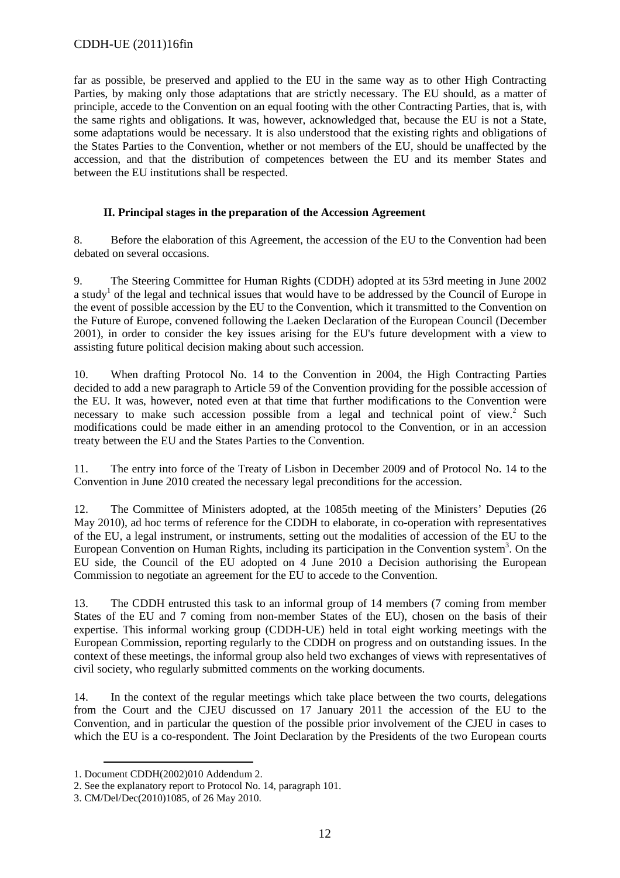far as possible, be preserved and applied to the EU in the same way as to other High Contracting Parties, by making only those adaptations that are strictly necessary. The EU should, as a matter of principle, accede to the Convention on an equal footing with the other Contracting Parties, that is, with the same rights and obligations. It was, however, acknowledged that, because the EU is not a State, some adaptations would be necessary. It is also understood that the existing rights and obligations of the States Parties to the Convention, whether or not members of the EU, should be unaffected by the accession, and that the distribution of competences between the EU and its member States and between the EU institutions shall be respected.

### **II. Principal stages in the preparation of the Accession Agreement**

8. Before the elaboration of this Agreement, the accession of the EU to the Convention had been debated on several occasions.

9. The Steering Committee for Human Rights (CDDH) adopted at its 53rd meeting in June 2002 a study<sup>1</sup> of the legal and technical issues that would have to be addressed by the Council of Europe in the event of possible accession by the EU to the Convention, which it transmitted to the Convention on the Future of Europe, convened following the Laeken Declaration of the European Council (December 2001), in order to consider the key issues arising for the EU's future development with a view to assisting future political decision making about such accession.

10. When drafting Protocol No. 14 to the Convention in 2004, the High Contracting Parties decided to add a new paragraph to Article 59 of the Convention providing for the possible accession of the EU. It was, however, noted even at that time that further modifications to the Convention were necessary to make such accession possible from a legal and technical point of view.<sup>2</sup> Such modifications could be made either in an amending protocol to the Convention, or in an accession treaty between the EU and the States Parties to the Convention.

11. The entry into force of the Treaty of Lisbon in December 2009 and of Protocol No. 14 to the Convention in June 2010 created the necessary legal preconditions for the accession.

12. The Committee of Ministers adopted, at the 1085th meeting of the Ministers' Deputies (26 May 2010), ad hoc terms of reference for the CDDH to elaborate, in co-operation with representatives of the EU, a legal instrument, or instruments, setting out the modalities of accession of the EU to the European Convention on Human Rights, including its participation in the Convention system<sup>3</sup>. On the EU side, the Council of the EU adopted on 4 June 2010 a Decision authorising the European Commission to negotiate an agreement for the EU to accede to the Convention.

13. The CDDH entrusted this task to an informal group of 14 members (7 coming from member States of the EU and 7 coming from non-member States of the EU), chosen on the basis of their expertise. This informal working group (CDDH-UE) held in total eight working meetings with the European Commission, reporting regularly to the CDDH on progress and on outstanding issues. In the context of these meetings, the informal group also held two exchanges of views with representatives of civil society, who regularly submitted comments on the working documents.

14. In the context of the regular meetings which take place between the two courts, delegations from the Court and the CJEU discussed on 17 January 2011 the accession of the EU to the Convention, and in particular the question of the possible prior involvement of the CJEU in cases to which the EU is a co-respondent. The Joint Declaration by the Presidents of the two European courts

 $\overline{a}$ 

<sup>1.</sup> Document CDDH(2002)010 Addendum 2.

<sup>2.</sup> See the explanatory report to Protocol No. 14, paragraph 101.

<sup>3.</sup> CM/Del/Dec(2010)1085, of 26 May 2010.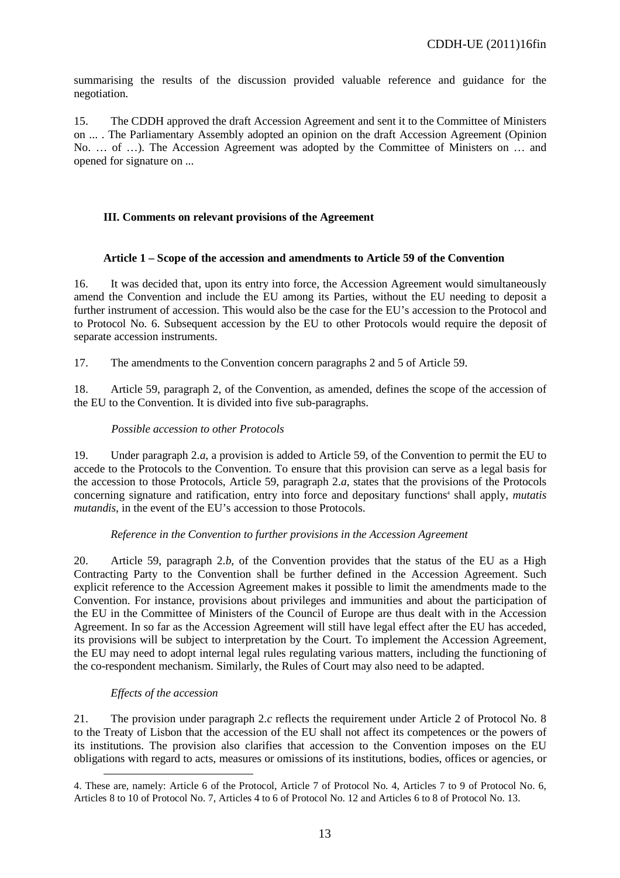summarising the results of the discussion provided valuable reference and guidance for the negotiation.

15. The CDDH approved the draft Accession Agreement and sent it to the Committee of Ministers on ... . The Parliamentary Assembly adopted an opinion on the draft Accession Agreement (Opinion No. … of …). The Accession Agreement was adopted by the Committee of Ministers on … and opened for signature on ...

### **III. Comments on relevant provisions of the Agreement**

#### **Article 1 – Scope of the accession and amendments to Article 59 of the Convention**

16. It was decided that, upon its entry into force, the Accession Agreement would simultaneously amend the Convention and include the EU among its Parties, without the EU needing to deposit a further instrument of accession. This would also be the case for the EU's accession to the Protocol and to Protocol No. 6. Subsequent accession by the EU to other Protocols would require the deposit of separate accession instruments.

17. The amendments to the Convention concern paragraphs 2 and 5 of Article 59.

18. Article 59, paragraph 2, of the Convention, as amended, defines the scope of the accession of the EU to the Convention. It is divided into five sub-paragraphs.

#### *Possible accession to other Protocols*

19. Under paragraph 2.*a*, a provision is added to Article 59, of the Convention to permit the EU to accede to the Protocols to the Convention. To ensure that this provision can serve as a legal basis for the accession to those Protocols, Article 59, paragraph 2.*a*, states that the provisions of the Protocols concerning signature and ratification, entry into force and depositary functions<sup>4</sup> shall apply, *mutatis mutandis*, in the event of the EU's accession to those Protocols.

#### *Reference in the Convention to further provisions in the Accession Agreement*

20. Article 59, paragraph 2.*b*, of the Convention provides that the status of the EU as a High Contracting Party to the Convention shall be further defined in the Accession Agreement. Such explicit reference to the Accession Agreement makes it possible to limit the amendments made to the Convention. For instance, provisions about privileges and immunities and about the participation of the EU in the Committee of Ministers of the Council of Europe are thus dealt with in the Accession Agreement. In so far as the Accession Agreement will still have legal effect after the EU has acceded, its provisions will be subject to interpretation by the Court. To implement the Accession Agreement, the EU may need to adopt internal legal rules regulating various matters, including the functioning of the co-respondent mechanism. Similarly, the Rules of Court may also need to be adapted.

#### *Effects of the accession*

 $\overline{a}$ 

21. The provision under paragraph 2.*c* reflects the requirement under Article 2 of Protocol No. 8 to the Treaty of Lisbon that the accession of the EU shall not affect its competences or the powers of its institutions. The provision also clarifies that accession to the Convention imposes on the EU obligations with regard to acts, measures or omissions of its institutions, bodies, offices or agencies, or

<sup>4.</sup> These are, namely: Article 6 of the Protocol, Article 7 of Protocol No. 4, Articles 7 to 9 of Protocol No. 6, Articles 8 to 10 of Protocol No. 7, Articles 4 to 6 of Protocol No. 12 and Articles 6 to 8 of Protocol No. 13.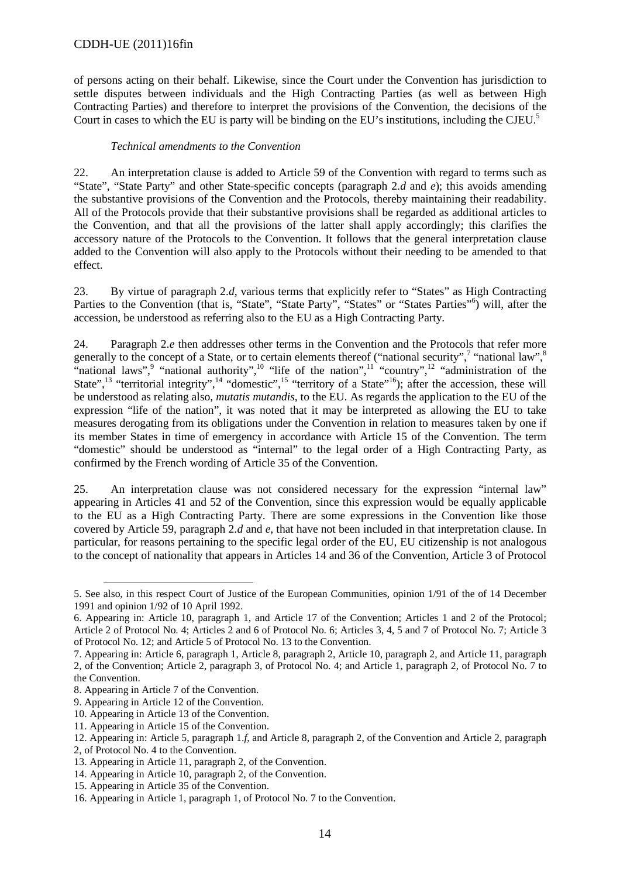### CDDH-UE (2011)16fin

of persons acting on their behalf. Likewise, since the Court under the Convention has jurisdiction to settle disputes between individuals and the High Contracting Parties (as well as between High Contracting Parties) and therefore to interpret the provisions of the Convention, the decisions of the Court in cases to which the EU is party will be binding on the EU's institutions, including the CJEU.<sup>5</sup>

#### *Technical amendments to the Convention*

22. An interpretation clause is added to Article 59 of the Convention with regard to terms such as "State", "State Party" and other State-specific concepts (paragraph 2.*d* and *e*); this avoids amending the substantive provisions of the Convention and the Protocols, thereby maintaining their readability. All of the Protocols provide that their substantive provisions shall be regarded as additional articles to the Convention, and that all the provisions of the latter shall apply accordingly; this clarifies the accessory nature of the Protocols to the Convention. It follows that the general interpretation clause added to the Convention will also apply to the Protocols without their needing to be amended to that effect.

23. By virtue of paragraph 2.*d*, various terms that explicitly refer to "States" as High Contracting Parties to the Convention (that is, "State", "State Party", "States" or "States Parties"<sup>6</sup>) will, after the accession, be understood as referring also to the EU as a High Contracting Party.

24. Paragraph 2.*e* then addresses other terms in the Convention and the Protocols that refer more generally to the concept of a State, or to certain elements thereof ("national security", "national law", " "national laws",  $9$  "national authority",  $10$  "life of the nation",  $11$  "country",  $12$  "administration of the State",<sup>13</sup> "territorial integrity",<sup>14</sup> "domestic",<sup>15</sup> "territory of a State"<sup>16</sup>); after the accession, these will be understood as relating also, *mutatis mutandis*, to the EU. As regards the application to the EU of the expression "life of the nation", it was noted that it may be interpreted as allowing the EU to take measures derogating from its obligations under the Convention in relation to measures taken by one if its member States in time of emergency in accordance with Article 15 of the Convention. The term "domestic" should be understood as "internal" to the legal order of a High Contracting Party, as confirmed by the French wording of Article 35 of the Convention.

25. An interpretation clause was not considered necessary for the expression "internal law" appearing in Articles 41 and 52 of the Convention, since this expression would be equally applicable to the EU as a High Contracting Party. There are some expressions in the Convention like those covered by Article 59, paragraph 2.*d* and *e*, that have not been included in that interpretation clause. In particular, for reasons pertaining to the specific legal order of the EU, EU citizenship is not analogous to the concept of nationality that appears in Articles 14 and 36 of the Convention, Article 3 of Protocol

 $\overline{a}$ 5. See also, in this respect Court of Justice of the European Communities, opinion 1/91 of the of 14 December 1991 and opinion 1/92 of 10 April 1992.

<sup>6.</sup> Appearing in: Article 10, paragraph 1, and Article 17 of the Convention; Articles 1 and 2 of the Protocol; Article 2 of Protocol No. 4; Articles 2 and 6 of Protocol No. 6; Articles 3, 4, 5 and 7 of Protocol No. 7; Article 3 of Protocol No. 12; and Article 5 of Protocol No. 13 to the Convention.

<sup>7.</sup> Appearing in: Article 6, paragraph 1, Article 8, paragraph 2, Article 10, paragraph 2, and Article 11, paragraph 2, of the Convention; Article 2, paragraph 3, of Protocol No. 4; and Article 1, paragraph 2, of Protocol No. 7 to the Convention.

<sup>8.</sup> Appearing in Article 7 of the Convention.

<sup>9.</sup> Appearing in Article 12 of the Convention.

<sup>10.</sup> Appearing in Article 13 of the Convention.

<sup>11.</sup> Appearing in Article 15 of the Convention.

<sup>12.</sup> Appearing in: Article 5, paragraph 1.*f*, and Article 8, paragraph 2, of the Convention and Article 2, paragraph 2, of Protocol No. 4 to the Convention.

<sup>13.</sup> Appearing in Article 11, paragraph 2, of the Convention.

<sup>14.</sup> Appearing in Article 10, paragraph 2, of the Convention.

<sup>15.</sup> Appearing in Article 35 of the Convention.

<sup>16.</sup> Appearing in Article 1, paragraph 1, of Protocol No. 7 to the Convention.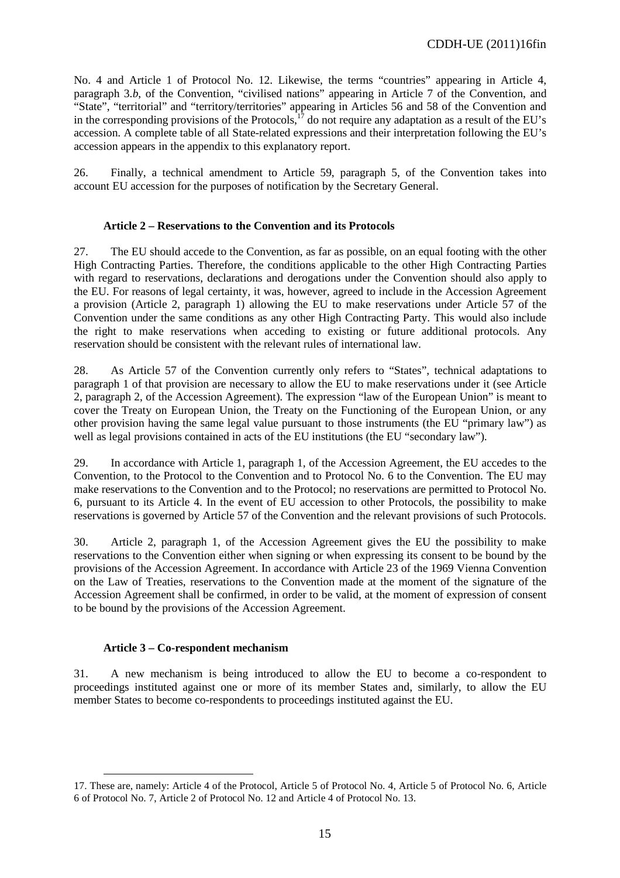No. 4 and Article 1 of Protocol No. 12. Likewise, the terms "countries" appearing in Article 4, paragraph 3.*b*, of the Convention, "civilised nations" appearing in Article 7 of the Convention, and "State", "territorial" and "territory/territories" appearing in Articles 56 and 58 of the Convention and in the corresponding provisions of the Protocols, $^{17}$  do not require any adaptation as a result of the EU's accession. A complete table of all State-related expressions and their interpretation following the EU's accession appears in the appendix to this explanatory report.

26. Finally, a technical amendment to Article 59, paragraph 5, of the Convention takes into account EU accession for the purposes of notification by the Secretary General.

### **Article 2 – Reservations to the Convention and its Protocols**

27. The EU should accede to the Convention, as far as possible, on an equal footing with the other High Contracting Parties. Therefore, the conditions applicable to the other High Contracting Parties with regard to reservations, declarations and derogations under the Convention should also apply to the EU. For reasons of legal certainty, it was, however, agreed to include in the Accession Agreement a provision (Article 2, paragraph 1) allowing the EU to make reservations under Article 57 of the Convention under the same conditions as any other High Contracting Party. This would also include the right to make reservations when acceding to existing or future additional protocols. Any reservation should be consistent with the relevant rules of international law.

28. As Article 57 of the Convention currently only refers to "States", technical adaptations to paragraph 1 of that provision are necessary to allow the EU to make reservations under it (see Article 2, paragraph 2, of the Accession Agreement). The expression "law of the European Union" is meant to cover the Treaty on European Union, the Treaty on the Functioning of the European Union, or any other provision having the same legal value pursuant to those instruments (the EU "primary law") as well as legal provisions contained in acts of the EU institutions (the EU "secondary law").

29. In accordance with Article 1, paragraph 1, of the Accession Agreement, the EU accedes to the Convention, to the Protocol to the Convention and to Protocol No. 6 to the Convention. The EU may make reservations to the Convention and to the Protocol; no reservations are permitted to Protocol No. 6, pursuant to its Article 4. In the event of EU accession to other Protocols, the possibility to make reservations is governed by Article 57 of the Convention and the relevant provisions of such Protocols.

30. Article 2, paragraph 1, of the Accession Agreement gives the EU the possibility to make reservations to the Convention either when signing or when expressing its consent to be bound by the provisions of the Accession Agreement. In accordance with Article 23 of the 1969 Vienna Convention on the Law of Treaties, reservations to the Convention made at the moment of the signature of the Accession Agreement shall be confirmed, in order to be valid, at the moment of expression of consent to be bound by the provisions of the Accession Agreement.

#### **Article 3 – Co-respondent mechanism**

 $\overline{a}$ 

31. A new mechanism is being introduced to allow the EU to become a co-respondent to proceedings instituted against one or more of its member States and, similarly, to allow the EU member States to become co-respondents to proceedings instituted against the EU.

<sup>17.</sup> These are, namely: Article 4 of the Protocol, Article 5 of Protocol No. 4, Article 5 of Protocol No. 6, Article 6 of Protocol No. 7, Article 2 of Protocol No. 12 and Article 4 of Protocol No. 13.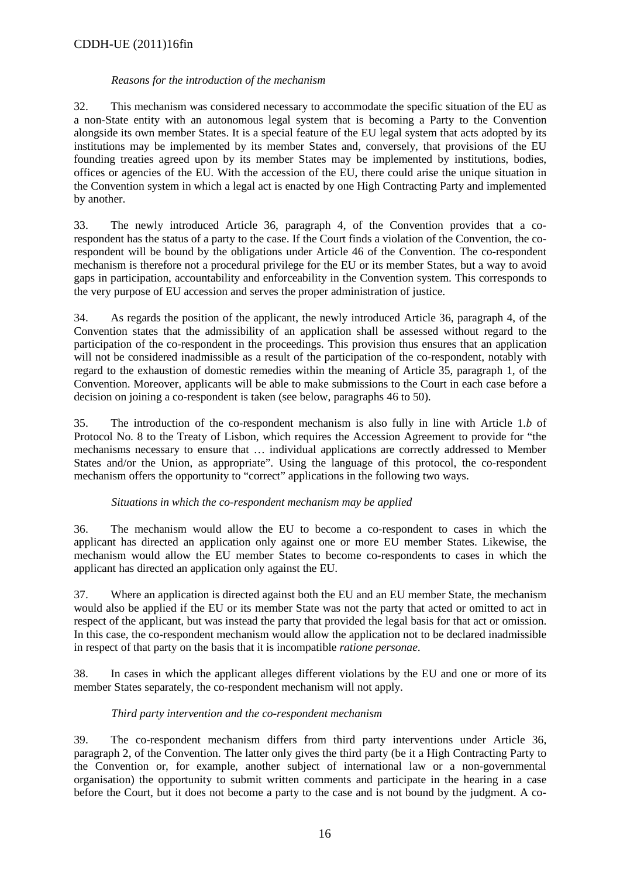### *Reasons for the introduction of the mechanism*

32. This mechanism was considered necessary to accommodate the specific situation of the EU as a non-State entity with an autonomous legal system that is becoming a Party to the Convention alongside its own member States. It is a special feature of the EU legal system that acts adopted by its institutions may be implemented by its member States and, conversely, that provisions of the EU founding treaties agreed upon by its member States may be implemented by institutions, bodies, offices or agencies of the EU. With the accession of the EU, there could arise the unique situation in the Convention system in which a legal act is enacted by one High Contracting Party and implemented by another.

33. The newly introduced Article 36, paragraph 4, of the Convention provides that a corespondent has the status of a party to the case. If the Court finds a violation of the Convention, the corespondent will be bound by the obligations under Article 46 of the Convention. The co-respondent mechanism is therefore not a procedural privilege for the EU or its member States, but a way to avoid gaps in participation, accountability and enforceability in the Convention system. This corresponds to the very purpose of EU accession and serves the proper administration of justice.

34. As regards the position of the applicant, the newly introduced Article 36, paragraph 4, of the Convention states that the admissibility of an application shall be assessed without regard to the participation of the co-respondent in the proceedings. This provision thus ensures that an application will not be considered inadmissible as a result of the participation of the co-respondent, notably with regard to the exhaustion of domestic remedies within the meaning of Article 35, paragraph 1, of the Convention. Moreover, applicants will be able to make submissions to the Court in each case before a decision on joining a co-respondent is taken (see below, paragraphs 46 to 50).

35. The introduction of the co-respondent mechanism is also fully in line with Article 1.*b* of Protocol No. 8 to the Treaty of Lisbon, which requires the Accession Agreement to provide for "the mechanisms necessary to ensure that … individual applications are correctly addressed to Member States and/or the Union, as appropriate". Using the language of this protocol, the co-respondent mechanism offers the opportunity to "correct" applications in the following two ways.

#### *Situations in which the co-respondent mechanism may be applied*

36. The mechanism would allow the EU to become a co-respondent to cases in which the applicant has directed an application only against one or more EU member States. Likewise, the mechanism would allow the EU member States to become co-respondents to cases in which the applicant has directed an application only against the EU.

37. Where an application is directed against both the EU and an EU member State, the mechanism would also be applied if the EU or its member State was not the party that acted or omitted to act in respect of the applicant, but was instead the party that provided the legal basis for that act or omission. In this case, the co-respondent mechanism would allow the application not to be declared inadmissible in respect of that party on the basis that it is incompatible *ratione personae*.

38. In cases in which the applicant alleges different violations by the EU and one or more of its member States separately, the co-respondent mechanism will not apply.

### *Third party intervention and the co-respondent mechanism*

39. The co-respondent mechanism differs from third party interventions under Article 36, paragraph 2, of the Convention. The latter only gives the third party (be it a High Contracting Party to the Convention or, for example, another subject of international law or a non-governmental organisation) the opportunity to submit written comments and participate in the hearing in a case before the Court, but it does not become a party to the case and is not bound by the judgment. A co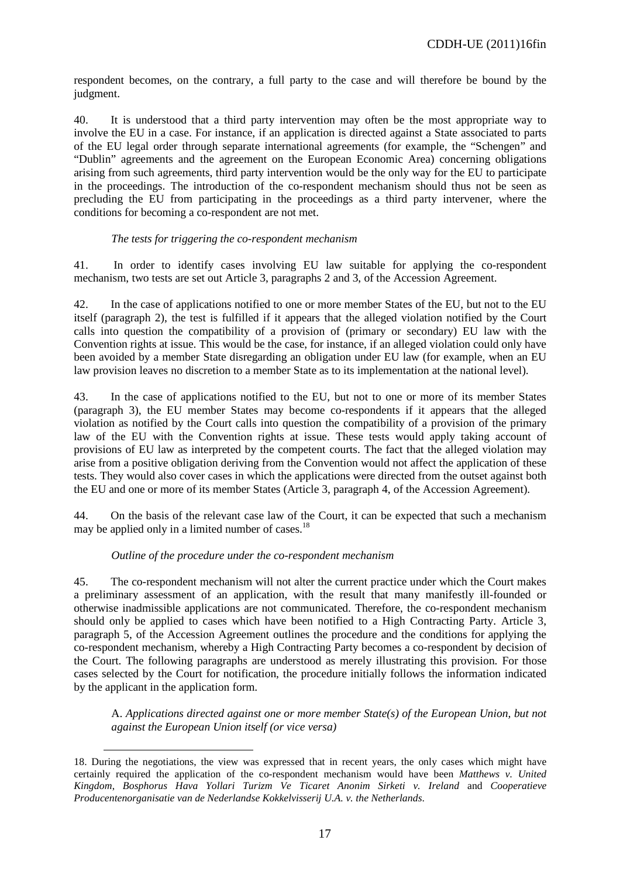respondent becomes, on the contrary, a full party to the case and will therefore be bound by the judgment.

40. It is understood that a third party intervention may often be the most appropriate way to involve the EU in a case. For instance, if an application is directed against a State associated to parts of the EU legal order through separate international agreements (for example, the "Schengen" and "Dublin" agreements and the agreement on the European Economic Area) concerning obligations arising from such agreements, third party intervention would be the only way for the EU to participate in the proceedings. The introduction of the co-respondent mechanism should thus not be seen as precluding the EU from participating in the proceedings as a third party intervener, where the conditions for becoming a co-respondent are not met.

### *The tests for triggering the co-respondent mechanism*

41. In order to identify cases involving EU law suitable for applying the co-respondent mechanism, two tests are set out Article 3, paragraphs 2 and 3, of the Accession Agreement.

42. In the case of applications notified to one or more member States of the EU, but not to the EU itself (paragraph 2), the test is fulfilled if it appears that the alleged violation notified by the Court calls into question the compatibility of a provision of (primary or secondary) EU law with the Convention rights at issue. This would be the case, for instance, if an alleged violation could only have been avoided by a member State disregarding an obligation under EU law (for example, when an EU law provision leaves no discretion to a member State as to its implementation at the national level).

43. In the case of applications notified to the EU, but not to one or more of its member States (paragraph 3), the EU member States may become co-respondents if it appears that the alleged violation as notified by the Court calls into question the compatibility of a provision of the primary law of the EU with the Convention rights at issue. These tests would apply taking account of provisions of EU law as interpreted by the competent courts. The fact that the alleged violation may arise from a positive obligation deriving from the Convention would not affect the application of these tests. They would also cover cases in which the applications were directed from the outset against both the EU and one or more of its member States (Article 3, paragraph 4, of the Accession Agreement).

44. On the basis of the relevant case law of the Court, it can be expected that such a mechanism may be applied only in a limited number of cases.<sup>18</sup>

#### *Outline of the procedure under the co-respondent mechanism*

 $\overline{a}$ 

45. The co-respondent mechanism will not alter the current practice under which the Court makes a preliminary assessment of an application, with the result that many manifestly ill-founded or otherwise inadmissible applications are not communicated. Therefore, the co-respondent mechanism should only be applied to cases which have been notified to a High Contracting Party. Article 3, paragraph 5, of the Accession Agreement outlines the procedure and the conditions for applying the co-respondent mechanism, whereby a High Contracting Party becomes a co-respondent by decision of the Court. The following paragraphs are understood as merely illustrating this provision. For those cases selected by the Court for notification, the procedure initially follows the information indicated by the applicant in the application form.

A. *Applications directed against one or more member State(s) of the European Union, but not against the European Union itself (or vice versa)* 

<sup>18.</sup> During the negotiations, the view was expressed that in recent years, the only cases which might have certainly required the application of the co-respondent mechanism would have been *Matthews v. United Kingdom*, *Bosphorus Hava Yollari Turizm Ve Ticaret Anonim Sirketi v. Ireland* and *Cooperatieve Producentenorganisatie van de Nederlandse Kokkelvisserij U.A. v. the Netherlands*.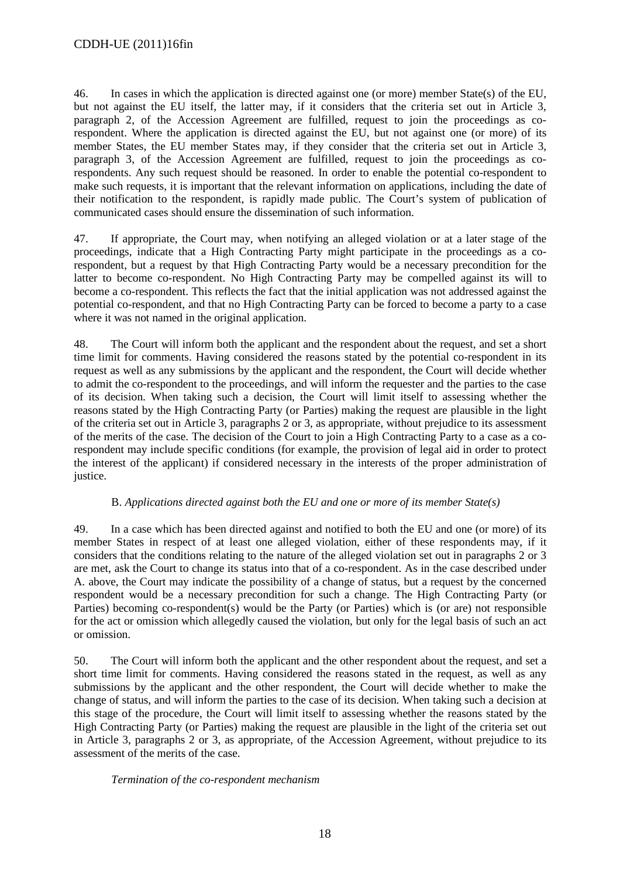46. In cases in which the application is directed against one (or more) member State(s) of the EU, but not against the EU itself, the latter may, if it considers that the criteria set out in Article 3, paragraph 2, of the Accession Agreement are fulfilled, request to join the proceedings as corespondent. Where the application is directed against the EU, but not against one (or more) of its member States, the EU member States may, if they consider that the criteria set out in Article 3, paragraph 3, of the Accession Agreement are fulfilled, request to join the proceedings as corespondents. Any such request should be reasoned. In order to enable the potential co-respondent to make such requests, it is important that the relevant information on applications, including the date of their notification to the respondent, is rapidly made public. The Court's system of publication of communicated cases should ensure the dissemination of such information.

47. If appropriate, the Court may, when notifying an alleged violation or at a later stage of the proceedings, indicate that a High Contracting Party might participate in the proceedings as a corespondent, but a request by that High Contracting Party would be a necessary precondition for the latter to become co-respondent. No High Contracting Party may be compelled against its will to become a co-respondent. This reflects the fact that the initial application was not addressed against the potential co-respondent, and that no High Contracting Party can be forced to become a party to a case where it was not named in the original application.

48. The Court will inform both the applicant and the respondent about the request, and set a short time limit for comments. Having considered the reasons stated by the potential co-respondent in its request as well as any submissions by the applicant and the respondent, the Court will decide whether to admit the co-respondent to the proceedings, and will inform the requester and the parties to the case of its decision. When taking such a decision, the Court will limit itself to assessing whether the reasons stated by the High Contracting Party (or Parties) making the request are plausible in the light of the criteria set out in Article 3, paragraphs 2 or 3, as appropriate, without prejudice to its assessment of the merits of the case. The decision of the Court to join a High Contracting Party to a case as a corespondent may include specific conditions (for example, the provision of legal aid in order to protect the interest of the applicant) if considered necessary in the interests of the proper administration of justice.

#### B. *Applications directed against both the EU and one or more of its member State(s)*

49. In a case which has been directed against and notified to both the EU and one (or more) of its member States in respect of at least one alleged violation, either of these respondents may, if it considers that the conditions relating to the nature of the alleged violation set out in paragraphs 2 or 3 are met, ask the Court to change its status into that of a co-respondent. As in the case described under A. above, the Court may indicate the possibility of a change of status, but a request by the concerned respondent would be a necessary precondition for such a change. The High Contracting Party (or Parties) becoming co-respondent(s) would be the Party (or Parties) which is (or are) not responsible for the act or omission which allegedly caused the violation, but only for the legal basis of such an act or omission.

50. The Court will inform both the applicant and the other respondent about the request, and set a short time limit for comments. Having considered the reasons stated in the request, as well as any submissions by the applicant and the other respondent, the Court will decide whether to make the change of status, and will inform the parties to the case of its decision. When taking such a decision at this stage of the procedure, the Court will limit itself to assessing whether the reasons stated by the High Contracting Party (or Parties) making the request are plausible in the light of the criteria set out in Article 3, paragraphs 2 or 3, as appropriate, of the Accession Agreement, without prejudice to its assessment of the merits of the case.

#### *Termination of the co-respondent mechanism*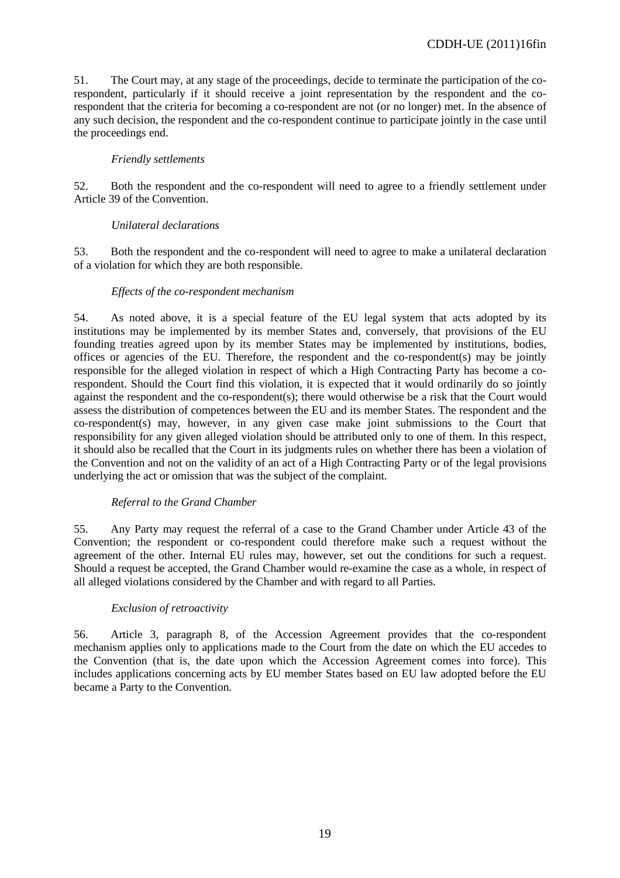51. The Court may, at any stage of the proceedings, decide to terminate the participation of the corespondent, particularly if it should receive a joint representation by the respondent and the corespondent that the criteria for becoming a co-respondent are not (or no longer) met. In the absence of any such decision, the respondent and the co-respondent continue to participate jointly in the case until the proceedings end.

### *Friendly settlements*

52. Both the respondent and the co-respondent will need to agree to a friendly settlement under Article 39 of the Convention.

#### *Unilateral declarations*

53. Both the respondent and the co-respondent will need to agree to make a unilateral declaration of a violation for which they are both responsible.

### *Effects of the co-respondent mechanism*

54. As noted above, it is a special feature of the EU legal system that acts adopted by its institutions may be implemented by its member States and, conversely, that provisions of the EU founding treaties agreed upon by its member States may be implemented by institutions, bodies, offices or agencies of the EU. Therefore, the respondent and the co-respondent(s) may be jointly responsible for the alleged violation in respect of which a High Contracting Party has become a corespondent. Should the Court find this violation, it is expected that it would ordinarily do so jointly against the respondent and the co-respondent(s); there would otherwise be a risk that the Court would assess the distribution of competences between the EU and its member States. The respondent and the co-respondent(s) may, however, in any given case make joint submissions to the Court that responsibility for any given alleged violation should be attributed only to one of them. In this respect, it should also be recalled that the Court in its judgments rules on whether there has been a violation of the Convention and not on the validity of an act of a High Contracting Party or of the legal provisions underlying the act or omission that was the subject of the complaint.

#### *Referral to the Grand Chamber*

55. Any Party may request the referral of a case to the Grand Chamber under Article 43 of the Convention; the respondent or co-respondent could therefore make such a request without the agreement of the other. Internal EU rules may, however, set out the conditions for such a request. Should a request be accepted, the Grand Chamber would re-examine the case as a whole, in respect of all alleged violations considered by the Chamber and with regard to all Parties.

### *Exclusion of retroactivity*

56. Article 3, paragraph 8, of the Accession Agreement provides that the co-respondent mechanism applies only to applications made to the Court from the date on which the EU accedes to the Convention (that is, the date upon which the Accession Agreement comes into force). This includes applications concerning acts by EU member States based on EU law adopted before the EU became a Party to the Convention.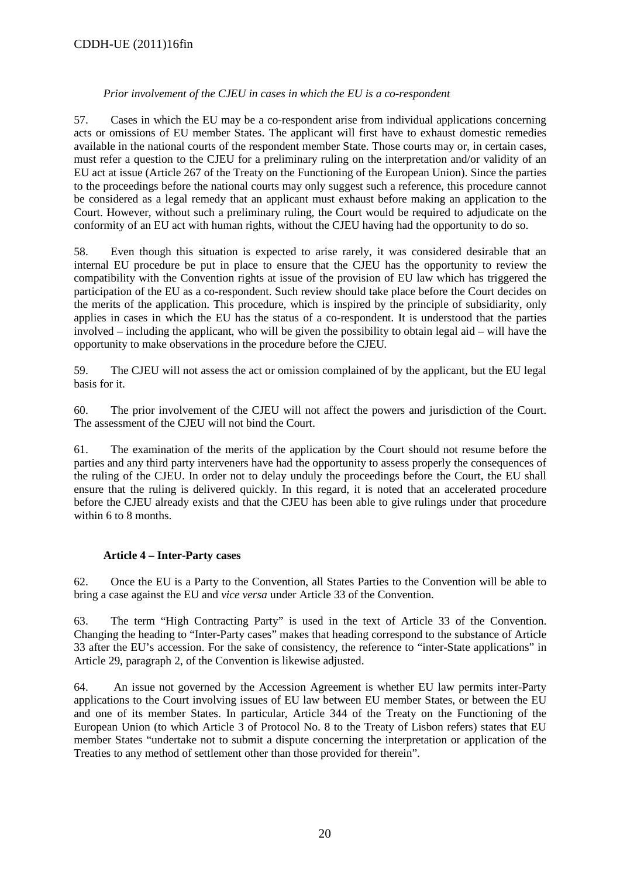### *Prior involvement of the CJEU in cases in which the EU is a co-respondent*

57. Cases in which the EU may be a co-respondent arise from individual applications concerning acts or omissions of EU member States. The applicant will first have to exhaust domestic remedies available in the national courts of the respondent member State. Those courts may or, in certain cases, must refer a question to the CJEU for a preliminary ruling on the interpretation and/or validity of an EU act at issue (Article 267 of the Treaty on the Functioning of the European Union). Since the parties to the proceedings before the national courts may only suggest such a reference, this procedure cannot be considered as a legal remedy that an applicant must exhaust before making an application to the Court. However, without such a preliminary ruling, the Court would be required to adjudicate on the conformity of an EU act with human rights, without the CJEU having had the opportunity to do so.

58. Even though this situation is expected to arise rarely, it was considered desirable that an internal EU procedure be put in place to ensure that the CJEU has the opportunity to review the compatibility with the Convention rights at issue of the provision of EU law which has triggered the participation of the EU as a co-respondent. Such review should take place before the Court decides on the merits of the application. This procedure, which is inspired by the principle of subsidiarity, only applies in cases in which the EU has the status of a co-respondent. It is understood that the parties involved – including the applicant, who will be given the possibility to obtain legal aid – will have the opportunity to make observations in the procedure before the CJEU*.* 

59. The CJEU will not assess the act or omission complained of by the applicant, but the EU legal basis for it.

60. The prior involvement of the CJEU will not affect the powers and jurisdiction of the Court. The assessment of the CJEU will not bind the Court.

61. The examination of the merits of the application by the Court should not resume before the parties and any third party interveners have had the opportunity to assess properly the consequences of the ruling of the CJEU. In order not to delay unduly the proceedings before the Court, the EU shall ensure that the ruling is delivered quickly. In this regard, it is noted that an accelerated procedure before the CJEU already exists and that the CJEU has been able to give rulings under that procedure within 6 to 8 months.

#### **Article 4 – Inter-Party cases**

62. Once the EU is a Party to the Convention, all States Parties to the Convention will be able to bring a case against the EU and *vice versa* under Article 33 of the Convention.

63. The term "High Contracting Party" is used in the text of Article 33 of the Convention. Changing the heading to "Inter-Party cases" makes that heading correspond to the substance of Article 33 after the EU's accession. For the sake of consistency, the reference to "inter-State applications" in Article 29, paragraph 2, of the Convention is likewise adjusted.

64. An issue not governed by the Accession Agreement is whether EU law permits inter-Party applications to the Court involving issues of EU law between EU member States, or between the EU and one of its member States. In particular, Article 344 of the Treaty on the Functioning of the European Union (to which Article 3 of Protocol No. 8 to the Treaty of Lisbon refers) states that EU member States "undertake not to submit a dispute concerning the interpretation or application of the Treaties to any method of settlement other than those provided for therein".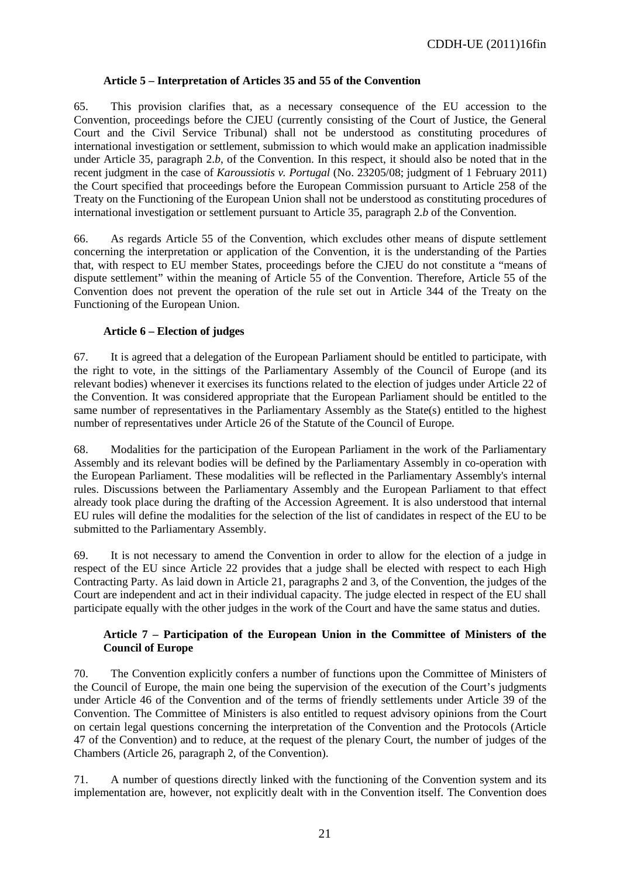### **Article 5 – Interpretation of Articles 35 and 55 of the Convention**

65. This provision clarifies that, as a necessary consequence of the EU accession to the Convention, proceedings before the CJEU (currently consisting of the Court of Justice, the General Court and the Civil Service Tribunal) shall not be understood as constituting procedures of international investigation or settlement, submission to which would make an application inadmissible under Article 35, paragraph 2.*b*, of the Convention. In this respect, it should also be noted that in the recent judgment in the case of *Karoussiotis v. Portugal* (No. 23205/08; judgment of 1 February 2011) the Court specified that proceedings before the European Commission pursuant to Article 258 of the Treaty on the Functioning of the European Union shall not be understood as constituting procedures of international investigation or settlement pursuant to Article 35, paragraph 2.*b* of the Convention.

66. As regards Article 55 of the Convention, which excludes other means of dispute settlement concerning the interpretation or application of the Convention, it is the understanding of the Parties that, with respect to EU member States, proceedings before the CJEU do not constitute a "means of dispute settlement" within the meaning of Article 55 of the Convention. Therefore, Article 55 of the Convention does not prevent the operation of the rule set out in Article 344 of the Treaty on the Functioning of the European Union.

### **Article 6 – Election of judges**

67. It is agreed that a delegation of the European Parliament should be entitled to participate, with the right to vote, in the sittings of the Parliamentary Assembly of the Council of Europe (and its relevant bodies) whenever it exercises its functions related to the election of judges under Article 22 of the Convention. It was considered appropriate that the European Parliament should be entitled to the same number of representatives in the Parliamentary Assembly as the State(s) entitled to the highest number of representatives under Article 26 of the Statute of the Council of Europe.

68. Modalities for the participation of the European Parliament in the work of the Parliamentary Assembly and its relevant bodies will be defined by the Parliamentary Assembly in co-operation with the European Parliament. These modalities will be reflected in the Parliamentary Assembly's internal rules. Discussions between the Parliamentary Assembly and the European Parliament to that effect already took place during the drafting of the Accession Agreement. It is also understood that internal EU rules will define the modalities for the selection of the list of candidates in respect of the EU to be submitted to the Parliamentary Assembly.

69. It is not necessary to amend the Convention in order to allow for the election of a judge in respect of the EU since Article 22 provides that a judge shall be elected with respect to each High Contracting Party. As laid down in Article 21, paragraphs 2 and 3, of the Convention, the judges of the Court are independent and act in their individual capacity. The judge elected in respect of the EU shall participate equally with the other judges in the work of the Court and have the same status and duties.

### **Article 7 – Participation of the European Union in the Committee of Ministers of the Council of Europe**

70. The Convention explicitly confers a number of functions upon the Committee of Ministers of the Council of Europe, the main one being the supervision of the execution of the Court's judgments under Article 46 of the Convention and of the terms of friendly settlements under Article 39 of the Convention. The Committee of Ministers is also entitled to request advisory opinions from the Court on certain legal questions concerning the interpretation of the Convention and the Protocols (Article 47 of the Convention) and to reduce, at the request of the plenary Court, the number of judges of the Chambers (Article 26, paragraph 2, of the Convention).

71. A number of questions directly linked with the functioning of the Convention system and its implementation are, however, not explicitly dealt with in the Convention itself. The Convention does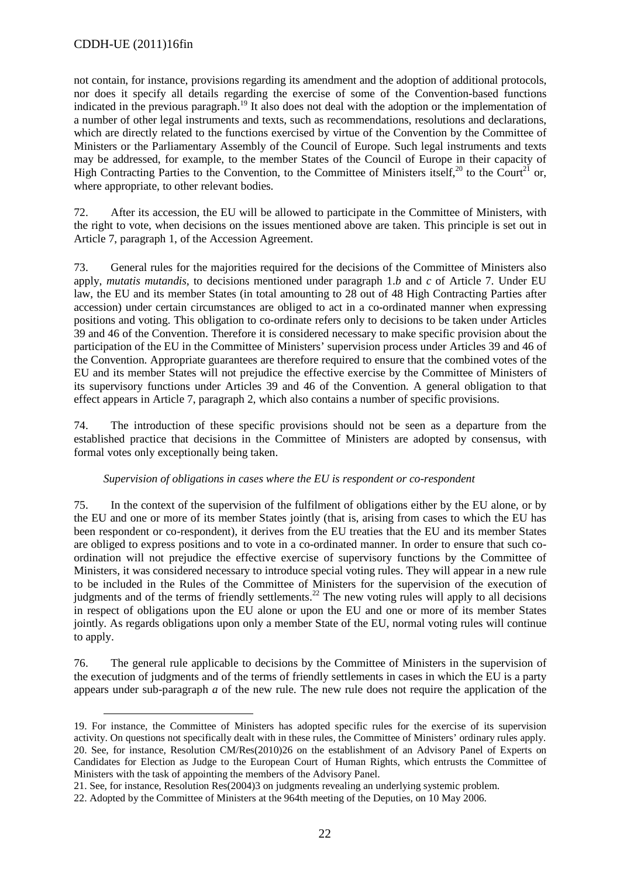## CDDH-UE (2011)16fin

 $\overline{a}$ 

not contain, for instance, provisions regarding its amendment and the adoption of additional protocols, nor does it specify all details regarding the exercise of some of the Convention-based functions indicated in the previous paragraph.<sup>19</sup> It also does not deal with the adoption or the implementation of a number of other legal instruments and texts, such as recommendations, resolutions and declarations, which are directly related to the functions exercised by virtue of the Convention by the Committee of Ministers or the Parliamentary Assembly of the Council of Europe. Such legal instruments and texts may be addressed, for example, to the member States of the Council of Europe in their capacity of High Contracting Parties to the Convention, to the Committee of Ministers itself,  $^{20}$  to the Court<sup>21</sup> or, where appropriate, to other relevant bodies.

72. After its accession, the EU will be allowed to participate in the Committee of Ministers, with the right to vote, when decisions on the issues mentioned above are taken. This principle is set out in Article 7, paragraph 1, of the Accession Agreement.

73. General rules for the majorities required for the decisions of the Committee of Ministers also apply, *mutatis mutandis,* to decisions mentioned under paragraph 1.*b* and *c* of Article 7. Under EU law, the EU and its member States (in total amounting to 28 out of 48 High Contracting Parties after accession) under certain circumstances are obliged to act in a co-ordinated manner when expressing positions and voting. This obligation to co-ordinate refers only to decisions to be taken under Articles 39 and 46 of the Convention. Therefore it is considered necessary to make specific provision about the participation of the EU in the Committee of Ministers' supervision process under Articles 39 and 46 of the Convention. Appropriate guarantees are therefore required to ensure that the combined votes of the EU and its member States will not prejudice the effective exercise by the Committee of Ministers of its supervisory functions under Articles 39 and 46 of the Convention. A general obligation to that effect appears in Article 7, paragraph 2, which also contains a number of specific provisions.

74. The introduction of these specific provisions should not be seen as a departure from the established practice that decisions in the Committee of Ministers are adopted by consensus, with formal votes only exceptionally being taken.

#### *Supervision of obligations in cases where the EU is respondent or co-respondent*

75. In the context of the supervision of the fulfilment of obligations either by the EU alone, or by the EU and one or more of its member States jointly (that is, arising from cases to which the EU has been respondent or co-respondent), it derives from the EU treaties that the EU and its member States are obliged to express positions and to vote in a co-ordinated manner. In order to ensure that such coordination will not prejudice the effective exercise of supervisory functions by the Committee of Ministers, it was considered necessary to introduce special voting rules. They will appear in a new rule to be included in the Rules of the Committee of Ministers for the supervision of the execution of judgments and of the terms of friendly settlements.<sup>22</sup> The new voting rules will apply to all decisions in respect of obligations upon the EU alone or upon the EU and one or more of its member States jointly. As regards obligations upon only a member State of the EU, normal voting rules will continue to apply.

76. The general rule applicable to decisions by the Committee of Ministers in the supervision of the execution of judgments and of the terms of friendly settlements in cases in which the EU is a party appears under sub-paragraph *a* of the new rule. The new rule does not require the application of the

<sup>19.</sup> For instance, the Committee of Ministers has adopted specific rules for the exercise of its supervision activity. On questions not specifically dealt with in these rules, the Committee of Ministers' ordinary rules apply. 20. See, for instance, Resolution CM/Res(2010)26 on the establishment of an Advisory Panel of Experts on Candidates for Election as Judge to the European Court of Human Rights, which entrusts the Committee of Ministers with the task of appointing the members of the Advisory Panel.

<sup>21.</sup> See, for instance, Resolution Res(2004)3 on judgments revealing an underlying systemic problem.

<sup>22.</sup> Adopted by the Committee of Ministers at the 964th meeting of the Deputies, on 10 May 2006.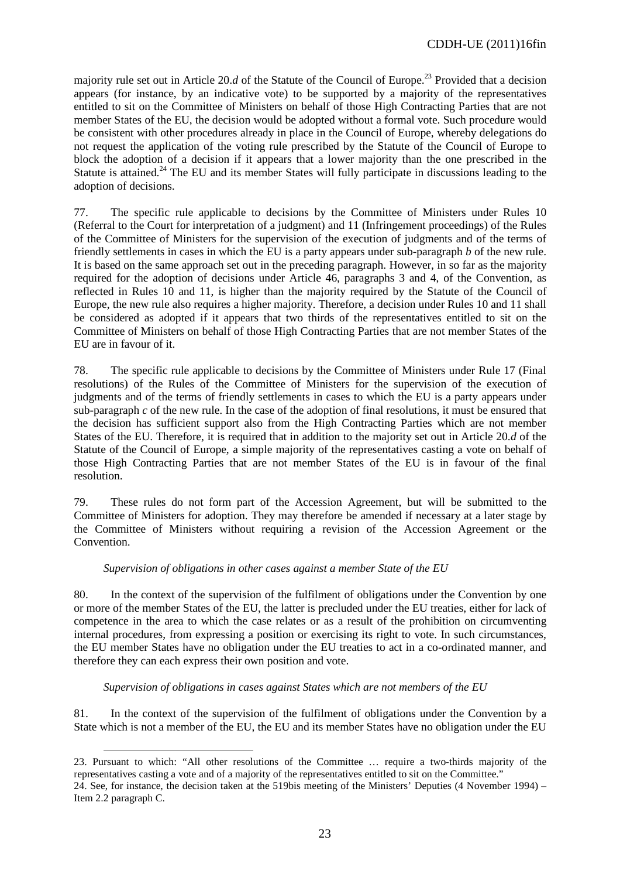majority rule set out in Article 20.*d* of the Statute of the Council of Europe.<sup>23</sup> Provided that a decision appears (for instance, by an indicative vote) to be supported by a majority of the representatives entitled to sit on the Committee of Ministers on behalf of those High Contracting Parties that are not member States of the EU, the decision would be adopted without a formal vote. Such procedure would be consistent with other procedures already in place in the Council of Europe, whereby delegations do not request the application of the voting rule prescribed by the Statute of the Council of Europe to block the adoption of a decision if it appears that a lower majority than the one prescribed in the Statute is attained.<sup>24</sup> The EU and its member States will fully participate in discussions leading to the adoption of decisions.

77. The specific rule applicable to decisions by the Committee of Ministers under Rules 10 (Referral to the Court for interpretation of a judgment) and 11 (Infringement proceedings) of the Rules of the Committee of Ministers for the supervision of the execution of judgments and of the terms of friendly settlements in cases in which the EU is a party appears under sub-paragraph *b* of the new rule. It is based on the same approach set out in the preceding paragraph. However, in so far as the majority required for the adoption of decisions under Article 46, paragraphs 3 and 4, of the Convention, as reflected in Rules 10 and 11, is higher than the majority required by the Statute of the Council of Europe, the new rule also requires a higher majority. Therefore, a decision under Rules 10 and 11 shall be considered as adopted if it appears that two thirds of the representatives entitled to sit on the Committee of Ministers on behalf of those High Contracting Parties that are not member States of the EU are in favour of it.

78. The specific rule applicable to decisions by the Committee of Ministers under Rule 17 (Final resolutions) of the Rules of the Committee of Ministers for the supervision of the execution of judgments and of the terms of friendly settlements in cases to which the EU is a party appears under sub-paragraph *c* of the new rule. In the case of the adoption of final resolutions, it must be ensured that the decision has sufficient support also from the High Contracting Parties which are not member States of the EU. Therefore, it is required that in addition to the majority set out in Article 20.*d* of the Statute of the Council of Europe, a simple majority of the representatives casting a vote on behalf of those High Contracting Parties that are not member States of the EU is in favour of the final resolution.

79. These rules do not form part of the Accession Agreement, but will be submitted to the Committee of Ministers for adoption. They may therefore be amended if necessary at a later stage by the Committee of Ministers without requiring a revision of the Accession Agreement or the Convention.

#### *Supervision of obligations in other cases against a member State of the EU*

80. In the context of the supervision of the fulfilment of obligations under the Convention by one or more of the member States of the EU, the latter is precluded under the EU treaties, either for lack of competence in the area to which the case relates or as a result of the prohibition on circumventing internal procedures, from expressing a position or exercising its right to vote. In such circumstances, the EU member States have no obligation under the EU treaties to act in a co-ordinated manner, and therefore they can each express their own position and vote.

#### *Supervision of obligations in cases against States which are not members of the EU*

 $\overline{a}$ 

81. In the context of the supervision of the fulfilment of obligations under the Convention by a State which is not a member of the EU, the EU and its member States have no obligation under the EU

<sup>23.</sup> Pursuant to which: "All other resolutions of the Committee … require a two-thirds majority of the representatives casting a vote and of a majority of the representatives entitled to sit on the Committee."

<sup>24.</sup> See, for instance, the decision taken at the 519bis meeting of the Ministers' Deputies (4 November 1994) – Item 2.2 paragraph C.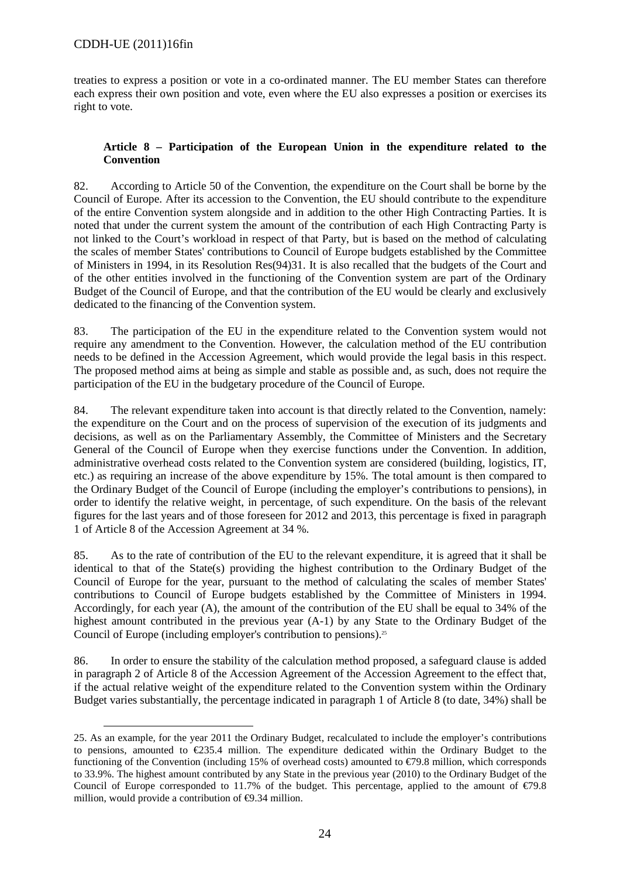### CDDH-UE (2011)16fin

treaties to express a position or vote in a co-ordinated manner. The EU member States can therefore each express their own position and vote, even where the EU also expresses a position or exercises its right to vote.

### **Article 8 – Participation of the European Union in the expenditure related to the Convention**

82. According to Article 50 of the Convention, the expenditure on the Court shall be borne by the Council of Europe. After its accession to the Convention, the EU should contribute to the expenditure of the entire Convention system alongside and in addition to the other High Contracting Parties. It is noted that under the current system the amount of the contribution of each High Contracting Party is not linked to the Court's workload in respect of that Party, but is based on the method of calculating the scales of member States' contributions to Council of Europe budgets established by the Committee of Ministers in 1994, in its Resolution Res(94)31. It is also recalled that the budgets of the Court and of the other entities involved in the functioning of the Convention system are part of the Ordinary Budget of the Council of Europe, and that the contribution of the EU would be clearly and exclusively dedicated to the financing of the Convention system.

83. The participation of the EU in the expenditure related to the Convention system would not require any amendment to the Convention. However, the calculation method of the EU contribution needs to be defined in the Accession Agreement, which would provide the legal basis in this respect. The proposed method aims at being as simple and stable as possible and, as such, does not require the participation of the EU in the budgetary procedure of the Council of Europe.

84. The relevant expenditure taken into account is that directly related to the Convention, namely: the expenditure on the Court and on the process of supervision of the execution of its judgments and decisions, as well as on the Parliamentary Assembly, the Committee of Ministers and the Secretary General of the Council of Europe when they exercise functions under the Convention. In addition, administrative overhead costs related to the Convention system are considered (building, logistics, IT, etc.) as requiring an increase of the above expenditure by 15%. The total amount is then compared to the Ordinary Budget of the Council of Europe (including the employer's contributions to pensions), in order to identify the relative weight, in percentage, of such expenditure. On the basis of the relevant figures for the last years and of those foreseen for 2012 and 2013, this percentage is fixed in paragraph 1 of Article 8 of the Accession Agreement at 34 %.

85. As to the rate of contribution of the EU to the relevant expenditure, it is agreed that it shall be identical to that of the State(s) providing the highest contribution to the Ordinary Budget of the Council of Europe for the year, pursuant to the method of calculating the scales of member States' contributions to Council of Europe budgets established by the Committee of Ministers in 1994. Accordingly, for each year (A), the amount of the contribution of the EU shall be equal to 34% of the highest amount contributed in the previous year (A-1) by any State to the Ordinary Budget of the Council of Europe (including employer's contribution to pensions).<sup>25</sup>

86. In order to ensure the stability of the calculation method proposed, a safeguard clause is added in paragraph 2 of Article 8 of the Accession Agreement of the Accession Agreement to the effect that, if the actual relative weight of the expenditure related to the Convention system within the Ordinary Budget varies substantially, the percentage indicated in paragraph 1 of Article 8 (to date, 34%) shall be

 $\overline{a}$ 25. As an example, for the year 2011 the Ordinary Budget, recalculated to include the employer's contributions to pensions, amounted to €235.4 million. The expenditure dedicated within the Ordinary Budget to the functioning of the Convention (including 15% of overhead costs) amounted to  $\epsilon$ 79.8 million, which corresponds to 33.9%. The highest amount contributed by any State in the previous year (2010) to the Ordinary Budget of the Council of Europe corresponded to 11.7% of the budget. This percentage, applied to the amount of  $\epsilon$ 79.8 million, would provide a contribution of  $\epsilon$ 9.34 million.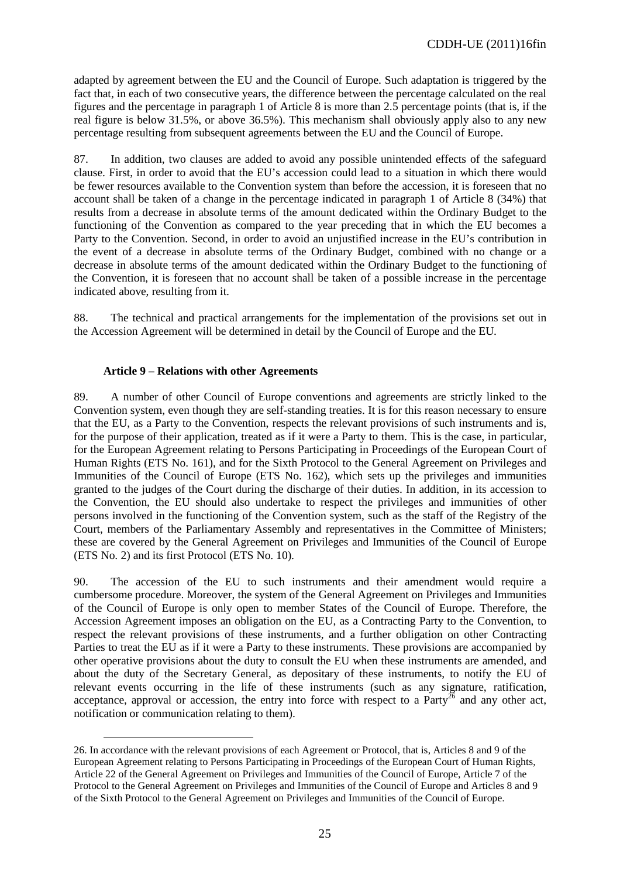adapted by agreement between the EU and the Council of Europe. Such adaptation is triggered by the fact that, in each of two consecutive years, the difference between the percentage calculated on the real figures and the percentage in paragraph 1 of Article 8 is more than 2.5 percentage points (that is, if the real figure is below 31.5%, or above 36.5%). This mechanism shall obviously apply also to any new percentage resulting from subsequent agreements between the EU and the Council of Europe.

87. In addition, two clauses are added to avoid any possible unintended effects of the safeguard clause. First, in order to avoid that the EU's accession could lead to a situation in which there would be fewer resources available to the Convention system than before the accession, it is foreseen that no account shall be taken of a change in the percentage indicated in paragraph 1 of Article 8 (34%) that results from a decrease in absolute terms of the amount dedicated within the Ordinary Budget to the functioning of the Convention as compared to the year preceding that in which the EU becomes a Party to the Convention. Second, in order to avoid an unjustified increase in the EU's contribution in the event of a decrease in absolute terms of the Ordinary Budget, combined with no change or a decrease in absolute terms of the amount dedicated within the Ordinary Budget to the functioning of the Convention, it is foreseen that no account shall be taken of a possible increase in the percentage indicated above, resulting from it.

88. The technical and practical arrangements for the implementation of the provisions set out in the Accession Agreement will be determined in detail by the Council of Europe and the EU.

### **Article 9 – Relations with other Agreements**

 $\overline{a}$ 

89. A number of other Council of Europe conventions and agreements are strictly linked to the Convention system, even though they are self-standing treaties. It is for this reason necessary to ensure that the EU, as a Party to the Convention, respects the relevant provisions of such instruments and is, for the purpose of their application, treated as if it were a Party to them. This is the case, in particular, for the European Agreement relating to Persons Participating in Proceedings of the European Court of Human Rights (ETS No. 161), and for the Sixth Protocol to the General Agreement on Privileges and Immunities of the Council of Europe (ETS No. 162), which sets up the privileges and immunities granted to the judges of the Court during the discharge of their duties. In addition, in its accession to the Convention, the EU should also undertake to respect the privileges and immunities of other persons involved in the functioning of the Convention system, such as the staff of the Registry of the Court, members of the Parliamentary Assembly and representatives in the Committee of Ministers; these are covered by the General Agreement on Privileges and Immunities of the Council of Europe (ETS No. 2) and its first Protocol (ETS No. 10).

90. The accession of the EU to such instruments and their amendment would require a cumbersome procedure. Moreover, the system of the General Agreement on Privileges and Immunities of the Council of Europe is only open to member States of the Council of Europe. Therefore, the Accession Agreement imposes an obligation on the EU, as a Contracting Party to the Convention, to respect the relevant provisions of these instruments, and a further obligation on other Contracting Parties to treat the EU as if it were a Party to these instruments. These provisions are accompanied by other operative provisions about the duty to consult the EU when these instruments are amended, and about the duty of the Secretary General, as depositary of these instruments, to notify the EU of relevant events occurring in the life of these instruments (such as any signature, ratification, acceptance, approval or accession, the entry into force with respect to a Party<sup>26</sup> and any other act, notification or communication relating to them).

<sup>26.</sup> In accordance with the relevant provisions of each Agreement or Protocol, that is, Articles 8 and 9 of the European Agreement relating to Persons Participating in Proceedings of the European Court of Human Rights, Article 22 of the General Agreement on Privileges and Immunities of the Council of Europe, Article 7 of the Protocol to the General Agreement on Privileges and Immunities of the Council of Europe and Articles 8 and 9 of the Sixth Protocol to the General Agreement on Privileges and Immunities of the Council of Europe.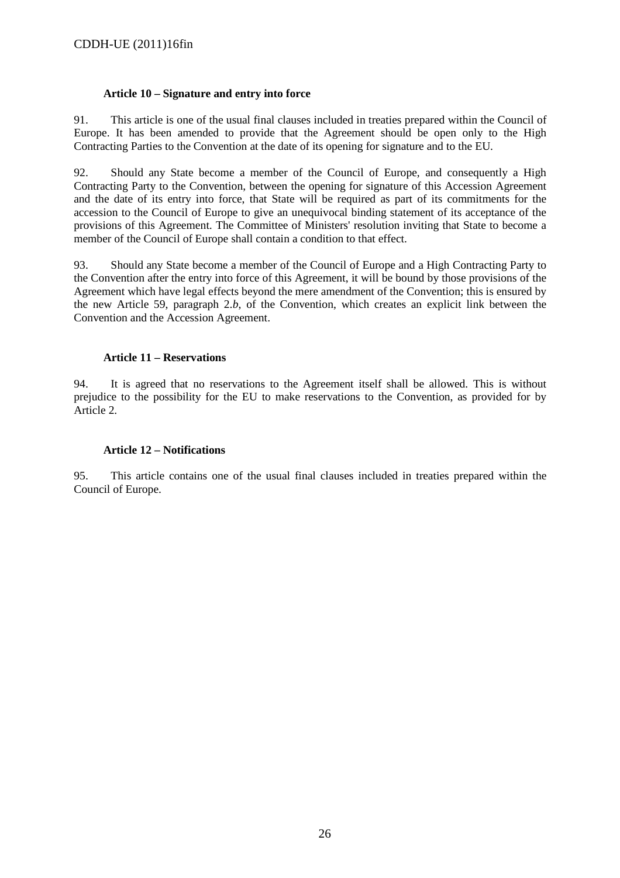### **Article 10 – Signature and entry into force**

91. This article is one of the usual final clauses included in treaties prepared within the Council of Europe. It has been amended to provide that the Agreement should be open only to the High Contracting Parties to the Convention at the date of its opening for signature and to the EU.

92. Should any State become a member of the Council of Europe, and consequently a High Contracting Party to the Convention, between the opening for signature of this Accession Agreement and the date of its entry into force, that State will be required as part of its commitments for the accession to the Council of Europe to give an unequivocal binding statement of its acceptance of the provisions of this Agreement. The Committee of Ministers' resolution inviting that State to become a member of the Council of Europe shall contain a condition to that effect.

93. Should any State become a member of the Council of Europe and a High Contracting Party to the Convention after the entry into force of this Agreement, it will be bound by those provisions of the Agreement which have legal effects beyond the mere amendment of the Convention; this is ensured by the new Article 59, paragraph 2.*b*, of the Convention, which creates an explicit link between the Convention and the Accession Agreement.

### **Article 11 – Reservations**

94. It is agreed that no reservations to the Agreement itself shall be allowed. This is without prejudice to the possibility for the EU to make reservations to the Convention, as provided for by Article 2.

#### **Article 12 – Notifications**

95. This article contains one of the usual final clauses included in treaties prepared within the Council of Europe.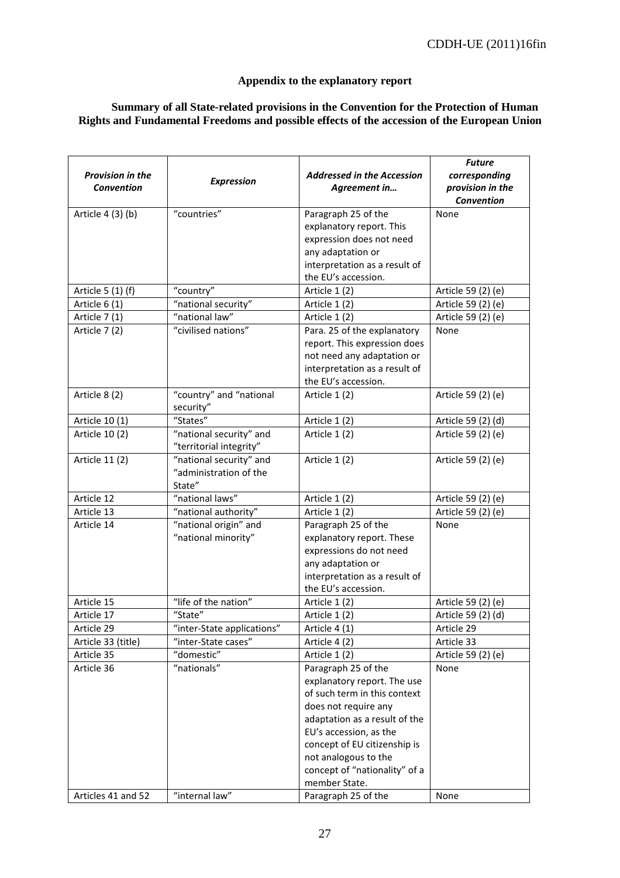### **Appendix to the explanatory report**

#### **Summary of all State-related provisions in the Convention for the Protection of Human Rights and Fundamental Freedoms and possible effects of the accession of the European Union**

|                         |                           |                                   | <b>Future</b>      |
|-------------------------|---------------------------|-----------------------------------|--------------------|
| <b>Provision in the</b> | <b>Expression</b>         | <b>Addressed in the Accession</b> | corresponding      |
| <b>Convention</b>       |                           | Agreement in                      | provision in the   |
|                         |                           |                                   | Convention         |
| Article 4 (3) (b)       | "countries"               | Paragraph 25 of the               | None               |
|                         |                           | explanatory report. This          |                    |
|                         |                           | expression does not need          |                    |
|                         |                           | any adaptation or                 |                    |
|                         |                           | interpretation as a result of     |                    |
|                         |                           | the EU's accession.               |                    |
| Article 5 (1) (f)       | "country"                 | Article 1 (2)                     | Article 59 (2) (e) |
| Article 6 (1)           | "national security"       | Article 1 (2)                     | Article 59 (2) (e) |
| Article 7 (1)           | "national law"            | Article 1 (2)                     | Article 59 (2) (e) |
| Article 7 (2)           | "civilised nations"       | Para. 25 of the explanatory       | None               |
|                         |                           | report. This expression does      |                    |
|                         |                           | not need any adaptation or        |                    |
|                         |                           | interpretation as a result of     |                    |
|                         |                           | the EU's accession.               |                    |
| Article 8 (2)           | "country" and "national   | Article 1 (2)                     | Article 59 (2) (e) |
|                         | security"                 |                                   |                    |
| Article 10 (1)          | "States"                  | Article 1 (2)                     | Article 59 (2) (d) |
| Article 10 (2)          | "national security" and   | Article 1 (2)                     | Article 59 (2) (e) |
|                         | "territorial integrity"   |                                   |                    |
| Article 11 (2)          | "national security" and   | Article 1 (2)                     | Article 59 (2) (e) |
|                         | "administration of the    |                                   |                    |
|                         | State"                    |                                   |                    |
| Article 12              | "national laws"           | Article 1(2)                      | Article 59 (2) (e) |
| Article 13              | "national authority"      | Article 1(2)                      | Article 59 (2) (e) |
| Article 14              | "national origin" and     | Paragraph 25 of the               | None               |
|                         | "national minority"       | explanatory report. These         |                    |
|                         |                           | expressions do not need           |                    |
|                         |                           | any adaptation or                 |                    |
|                         |                           | interpretation as a result of     |                    |
|                         |                           | the EU's accession.               |                    |
| Article 15              | "life of the nation"      | Article 1 (2)                     | Article 59 (2) (e) |
| Article 17              | "State"                   | Article 1 (2)                     | Article 59 (2) (d) |
| Article 29              | inter-State applications' | Article 4 (1)                     | Article 29         |
| Article 33 (title)      | "inter-State cases"       | Article 4 (2)                     | Article 33         |
| Article 35              | "domestic"                | Article 1 (2)                     | Article 59 (2) (e) |
| Article 36              | "nationals"               | Paragraph 25 of the               | None               |
|                         |                           | explanatory report. The use       |                    |
|                         |                           | of such term in this context      |                    |
|                         |                           | does not require any              |                    |
|                         |                           | adaptation as a result of the     |                    |
|                         |                           | EU's accession, as the            |                    |
|                         |                           | concept of EU citizenship is      |                    |
|                         |                           | not analogous to the              |                    |
|                         |                           | concept of "nationality" of a     |                    |
|                         |                           | member State.                     |                    |
| Articles 41 and 52      | "internal law"            | Paragraph 25 of the               | None               |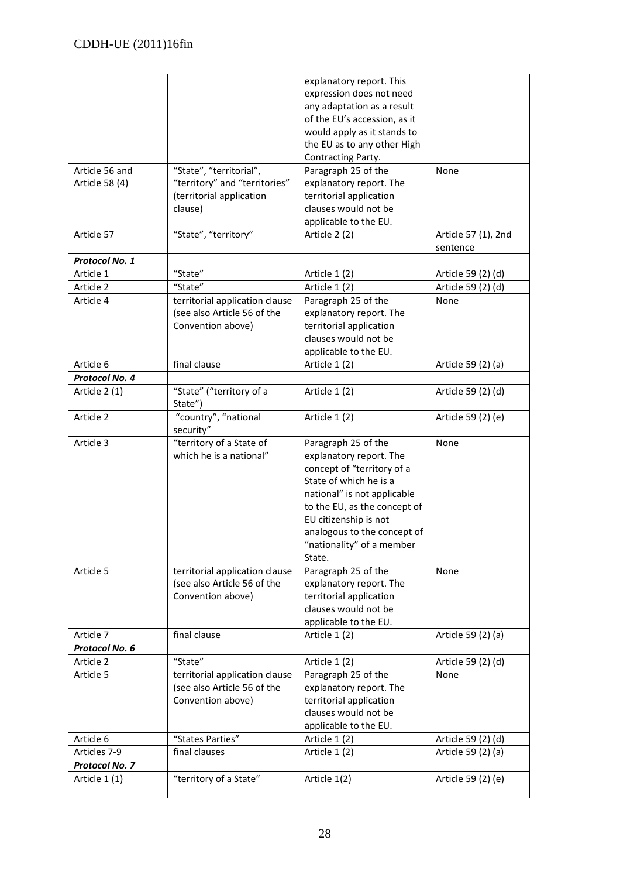|                |                                | explanatory report. This     |                     |
|----------------|--------------------------------|------------------------------|---------------------|
|                |                                | expression does not need     |                     |
|                |                                | any adaptation as a result   |                     |
|                |                                | of the EU's accession, as it |                     |
|                |                                | would apply as it stands to  |                     |
|                |                                | the EU as to any other High  |                     |
|                |                                | Contracting Party.           |                     |
| Article 56 and | "State", "territorial",        | Paragraph 25 of the          | None                |
|                | "territory" and "territories"  | explanatory report. The      |                     |
| Article 58 (4) |                                |                              |                     |
|                | (territorial application       | territorial application      |                     |
|                | clause)                        | clauses would not be         |                     |
|                |                                | applicable to the EU.        |                     |
| Article 57     | "State", "territory"           | Article 2 (2)                | Article 57 (1), 2nd |
|                |                                |                              | sentence            |
| Protocol No. 1 |                                |                              |                     |
| Article 1      | "State"                        | Article 1 (2)                | Article 59 (2) (d)  |
| Article 2      | "State"                        | Article 1 (2)                | Article 59 (2) (d)  |
| Article 4      | territorial application clause | Paragraph 25 of the          | None                |
|                | (see also Article 56 of the    | explanatory report. The      |                     |
|                | Convention above)              | territorial application      |                     |
|                |                                | clauses would not be         |                     |
|                |                                | applicable to the EU.        |                     |
| Article 6      | final clause                   | Article 1 (2)                | Article 59 (2) (a)  |
| Protocol No. 4 |                                |                              |                     |
| Article 2 (1)  | "State" ("territory of a       | Article 1 (2)                | Article 59 (2) (d)  |
|                | State")                        |                              |                     |
| Article 2      | "country", "national           | Article 1 (2)                | Article 59 (2) (e)  |
|                | security"                      |                              |                     |
|                |                                |                              |                     |
|                |                                |                              |                     |
| Article 3      | "territory of a State of       | Paragraph 25 of the          | None                |
|                | which he is a national"        | explanatory report. The      |                     |
|                |                                | concept of "territory of a   |                     |
|                |                                | State of which he is a       |                     |
|                |                                | national" is not applicable  |                     |
|                |                                | to the EU, as the concept of |                     |
|                |                                | EU citizenship is not        |                     |
|                |                                | analogous to the concept of  |                     |
|                |                                | "nationality" of a member    |                     |
|                |                                | State.                       |                     |
| Article 5      | territorial application clause | Paragraph 25 of the          | None                |
|                | (see also Article 56 of the    | explanatory report. The      |                     |
|                | Convention above)              | territorial application      |                     |
|                |                                | clauses would not be         |                     |
|                |                                | applicable to the EU.        |                     |
| Article 7      | final clause                   | Article 1(2)                 | Article 59 (2) (a)  |
| Protocol No. 6 |                                |                              |                     |
| Article 2      | "State"                        | Article 1 (2)                | Article 59 (2) (d)  |
| Article 5      | territorial application clause | Paragraph 25 of the          | None                |
|                | (see also Article 56 of the    | explanatory report. The      |                     |
|                | Convention above)              | territorial application      |                     |
|                |                                | clauses would not be         |                     |
|                |                                | applicable to the EU.        |                     |
| Article 6      | "States Parties"               | Article 1 (2)                | Article 59 (2) (d)  |
| Articles 7-9   | final clauses                  | Article 1 (2)                | Article 59 (2) (a)  |
| Protocol No. 7 |                                |                              |                     |
| Article 1 (1)  | "territory of a State"         | Article 1(2)                 | Article 59 (2) (e)  |